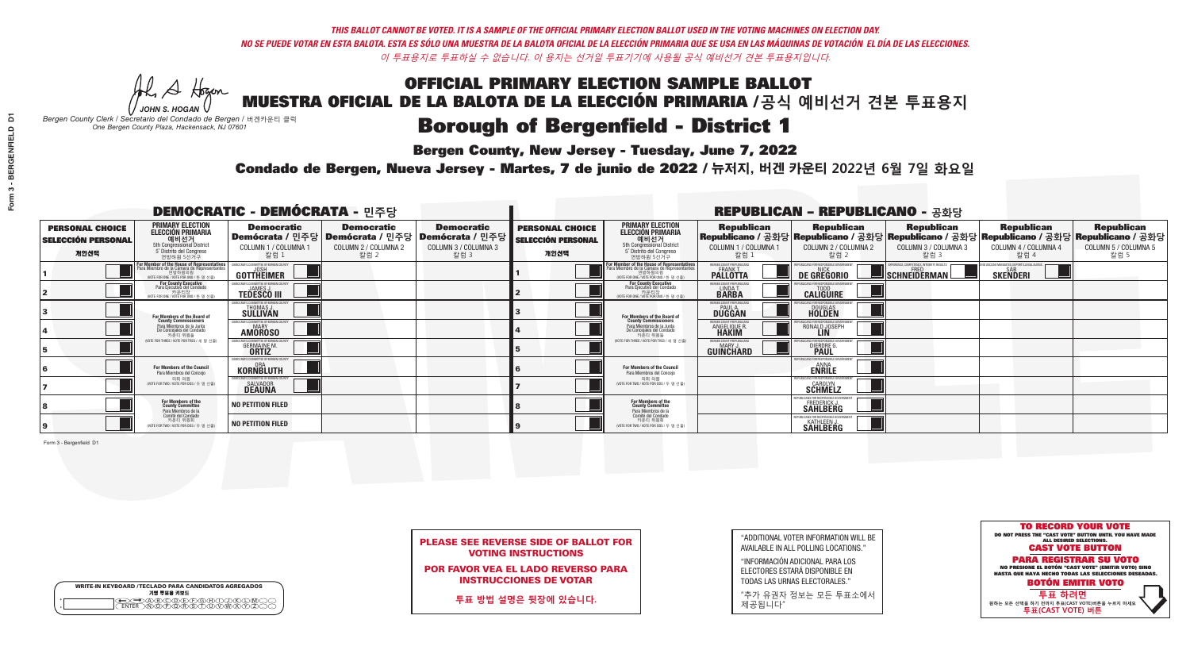A Hogen

**Bergen County, New Jersey - Tuesday, June 7, 2022** 

| <b>WRITE-IN KEYBOARD /TECLADO PARA CANDIDATOS AGREGADOS</b><br>기명 투표용 키보드 |  |
|---------------------------------------------------------------------------|--|
| @®©®©©©®®©©®<br>®®®®®®®©®®®®                                              |  |

*JOHN S. HOGAN Bergen County Clerk / Secretario del Condado de Bergen /* 버겐카운티 클럭 *One Bergen County Plaza, Hackensack, NJ 07601*



PLEASE SEE REVERSE SIDE OF BALLOT FOR VOTING INSTRUCTIONS

POR FAVOR VEA EL LADO REVERSO PARA INSTRUCCIONES DE VOTAR

**투표 방법 설명은 뒷장에 있습니다.**

"ADDITIONAL VOTER INFORMATION WILL BE AVAILABLE IN ALL POLLING LOCATIONS."

"INFORMACIÓN ADICIONAL PARA LOS ELECTORES ESTARÁ DISPONIBLE EN TODAS LAS URNAS ELECTORALES."

"추가 유권자 정보는 모든 투표소에서 제공됩니다"

Condado de Bergen, Nueva Jersey - Martes, 7 de junio de 2022 / 뉴저지, 버겐 카운티 2022년 6월 7일 화요일 *One Bergen County Plaza, Hackensack, NJ 07601*

|                                                             |                                                                                                                                               | <b>DEMOCRATIC - DEMÓCRATA - 민주당</b>                                      |                                                   |                                                                                                        |                                                             |                                                                                                                                               |                                                            | <b>REPUBLICAN - REPUBLICANO - 공화당</b>                                                                                                           |                                                         |                                                            |                                                   |
|-------------------------------------------------------------|-----------------------------------------------------------------------------------------------------------------------------------------------|--------------------------------------------------------------------------|---------------------------------------------------|--------------------------------------------------------------------------------------------------------|-------------------------------------------------------------|-----------------------------------------------------------------------------------------------------------------------------------------------|------------------------------------------------------------|-------------------------------------------------------------------------------------------------------------------------------------------------|---------------------------------------------------------|------------------------------------------------------------|---------------------------------------------------|
| <b>PERSONAL CHOICE</b><br><b>SELECCIÓN PERSONAL</b><br>개인선택 | <b>PRIMARY ELECTION</b><br><b>ELECCIÓN PRIMARIA</b><br>예비선거<br>5th Congressional District<br>5° Distrito del Congreso<br>연방하원 5선거구            | <b>Democratic</b><br>COLUMN 1 / COLUMNA 1<br>칼럼 1                        | <b>Democratic</b><br>COLUMN 2 / COLUMNA 2<br>칼럼 2 | <b>Democratic</b><br>│Demócrata / 민주당│Demócrata / 민주당│Demócrata / 민주당┃<br>COLUMN 3 / COLUMNA 3<br>칼럼 3 | <b>PERSONAL CHOICE</b><br><b>SELECCIÓN PERSONAL</b><br>개인선택 | <b>PRIMARY ELECTION</b><br><b>ELECCIÓN PRIMARIA</b><br><u>. 예비선거</u><br>5th Congressional District<br>5° Distrito del Congreso<br>연방하원 5선거구   | <b>Republican</b><br>COLUMN 1 / COLUMNA 1<br>칼럼 :          | <b>Republican</b><br>Republicano / 공화당 Republicano / 공화당 Republicano / 공화당 Republicano / 공화당 Republicano / 공화당<br>COLUMN 2 / COLUMNA 2<br>·칼럼 2 | <b>Republican</b><br>COLUMN 3 / COLUMNA 3<br>칼럼 3       | <b>Republican</b><br>COLUMN 4 / COLUMNA 4<br>칼럼 4          | <b>Republican</b><br>COLUMN 5 / COLUMNA 5<br>칼럼 5 |
|                                                             | For Member of the House of Representatives<br>Para Miembro de la Cámara de Representantes<br>연방하원의원<br>(VOTE FOR ONE / VOTE POR UNO / 한 명 선출) | EMOCRATIC COMMITTEE OF BERGEN COL<br>GOTTHEIMER                          |                                                   |                                                                                                        |                                                             | For Member of the House of Representatives<br>Para Miembro de la Cámara de Representantes<br>연방하원의원<br>(WOTE FOR ONE / VOTE POR UNO / 한 명 선출) | BERGEN COUNTY REPUBLICANS<br>FRANK T.<br><b>PALLOTTA</b>   | DE GREGORIO                                                                                                                                     | PERIENCE. COMPETENCE. INTEGRITY. RESULT<br>SCHNEIDERMAN | VACCINE MANDATES, DEPORT ILLEGAL ALIENS<br><b>SKENDERI</b> |                                                   |
|                                                             | For County Executive<br>Para Ejecutivo del Condado<br>가운티장<br>(VOTE FOR ONE / VOTE POR UNO / 한 명 선출)                                          | EMOCRATIC COMMITTEE OF BERGEN COUNTY<br><b>TEDESCO III</b>               |                                                   |                                                                                                        |                                                             | For County Executive<br>Para Ejecutivo del Condado<br>. 카운티장<br>(VOTE FOR ONE / VOTE POR UNO / 한 명 선출)                                        | BERGEN COUNTY REPUBLICAN<br>LINDA T.                       | <b>CALIGUIRE</b>                                                                                                                                |                                                         |                                                            |                                                   |
|                                                             | For Members of the Board of<br>County Commissioners                                                                                           | MOCRATIC COMMITTEE OF BERGEN COUNTY<br>THOMAS J.<br><b>SÜLLIVAN</b>      |                                                   |                                                                                                        |                                                             | For Members of the Board of<br>County Commissioners                                                                                           | ERGEN COUNTY REPUBLICAN<br><b>PAUL A.</b><br><b>DUGGAN</b> | DOUGLAS<br>HOLDEN                                                                                                                               |                                                         |                                                            |                                                   |
|                                                             | Para Miembros de la Junta<br>De Concejales del Condado<br>카우티 위원들                                                                             | <i>A</i> OCRATIC COMMITTEE OF BERGEN COUNTY<br>MARY<br><b>AMOROSO</b>    |                                                   |                                                                                                        |                                                             | Para Miembros de la Junta<br>De Concejales del Condado<br>카운티 위원들                                                                             | RGEN COUNTY REPUBLICAN<br><b>ANGELIQUE R<br/>HAKIM</b>     | RONALD JOSEPH                                                                                                                                   |                                                         |                                                            |                                                   |
|                                                             | NOTE FOR THREE / VOTE POR TRES / 세 명 선출)                                                                                                      | OCRATIC COMMITTEE OF BERGEN CO<br><b>GERMAINE M.</b>                     |                                                   |                                                                                                        |                                                             | WOTE FOR THREE / VOTE POR TRES / 세 명 선출                                                                                                       | ERGEN COUNTY REPUBLICANS<br>MARY .I<br>GUINCHARD           | FOR RESPONSIBLE G<br>DIERDRE G                                                                                                                  |                                                         |                                                            |                                                   |
|                                                             | For Members of the Council<br>Para Miembros del Conceio                                                                                       | EMOCRATIC COMMITTEE OF BERGEN CO<br><b>KORNBLUTH</b>                     |                                                   |                                                                                                        |                                                             | For Members of the Council<br>Para Miembros del Conceio                                                                                       |                                                            | S FOR RESPONSIBI E GO<br><b>ENRILE</b>                                                                                                          |                                                         |                                                            |                                                   |
|                                                             | 의회 의원<br>(VOTE FOR TWO / VOTE POR DOS / 두 명 선출)                                                                                               | EMOCRATIC COMMITTEE OF BERGEN COUNTY<br><b>SALVADOR</b><br><b>DEAUNA</b> |                                                   |                                                                                                        |                                                             | 의회 의원<br>(VOTE FOR TWO / VOTE POR DOS / 두 명 선출)                                                                                               |                                                            | PUBLICANS FOR RESPONSIBLE GO<br><b>SCHMELZ</b>                                                                                                  |                                                         |                                                            |                                                   |
|                                                             | For Members of the<br>County Committee<br>Para Miembros de la<br>Comité del Condado                                                           | <b>NO PETITION FILED</b>                                                 |                                                   |                                                                                                        |                                                             | For Members of the<br>County Committee<br>Para Miembros de la<br>Comité del Condado                                                           |                                                            | FREDERICK J.                                                                                                                                    |                                                         |                                                            |                                                   |
|                                                             | 카운티 위원회<br>(VOTE FOR TWO / VOTE POR DOS / 두 명 선출)                                                                                             | <b>NO PETITION FILED</b>                                                 |                                                   |                                                                                                        |                                                             | 카운티 위원회<br>WOTE FOR TWO / VOTE POR DOS / 두 명 선출)                                                                                              |                                                            | <b>KATHLEEN J.</b><br><b>SAHLBERG</b>                                                                                                           |                                                         |                                                            |                                                   |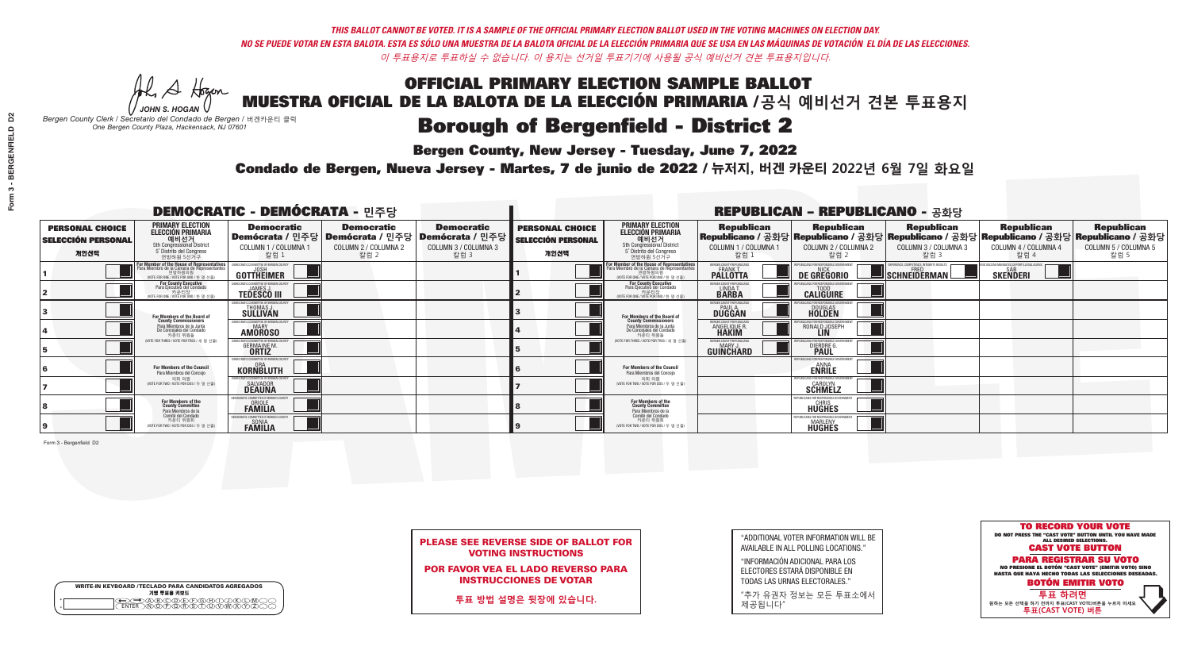**Bergen County, New Jersey - Tuesday, June 7, 2022** 

A Hogen *JOHN S. HOGAN*

|        | <b>WRITE-IN KEYBOARD /TECLADO PARA CANDIDATOS AGREGADOS</b><br>기명 투표용 키보드 |  |
|--------|---------------------------------------------------------------------------|--|
| o<br>o | )(B)C)(D)(E)(F)(G)(H)(T)<br><u>፝ዀ፝፟፟</u> ፙ፝ዾ፝ዾ፝ዾዾ                         |  |

*Bergen County Clerk / Secretario del Condado de Bergen /* 버겐카운티 클럭 *One Bergen County Plaza, Hackensack, NJ 07601*



PLEASE SEE REVERSE SIDE OF BALLOT FOR VOTING INSTRUCTIONS

POR FAVOR VEA EL LADO REVERSO PARA INSTRUCCIONES DE VOTAR

**투표 방법 설명은 뒷장에 있습니다.**

| "ADDITIONAL VOTER INFORMATION WILL BE |
|---------------------------------------|
| AVAILABLE IN ALL POLLING LOCATIONS."  |

"INFORMACIÓN ADICIONAL PARA LOS ELECTORES ESTARÁ DISPONIBLE EN TODAS LAS URNAS ELECTORALES."

"추가 유권자 정보는 모든 투표소에서 제공됩니다"

Condado de Bergen, Nueva Jersey - Martes, 7 de junio de 2022 / 뉴저지, 버겐 카운티 2022년 6월 7일 화요일 *One Bergen County Plaza, Hackensack, NJ 07601*

|                                                             |                                                                                                                                               | <b>DEMOCRATIC - DEMÓCRATA - 민주당</b>                                      |                                                   |                                                                                                        |                                                             |                                                                                                                                               |                                                                | <b>REPUBLICAN - REPUBLICANO - 공화당</b>                  |                                                                                                                                                |                                                               |                                                   |
|-------------------------------------------------------------|-----------------------------------------------------------------------------------------------------------------------------------------------|--------------------------------------------------------------------------|---------------------------------------------------|--------------------------------------------------------------------------------------------------------|-------------------------------------------------------------|-----------------------------------------------------------------------------------------------------------------------------------------------|----------------------------------------------------------------|--------------------------------------------------------|------------------------------------------------------------------------------------------------------------------------------------------------|---------------------------------------------------------------|---------------------------------------------------|
| <b>PERSONAL CHOICE</b><br><b>SELECCIÓN PERSONAL</b><br>개인선택 | <b>PRIMARY ELECTION</b><br><b>ELECCIÓN PRIMARIA</b><br>예비선거<br><sup>5th</sup> Congressional District<br>5° Distrito del Congreso<br>연방하원 5선거구 | <b>Democratic</b><br>COLUMN 1 / COLUMNA 1<br>칼럼 1                        | <b>Democratic</b><br>COLUMN 2 / COLUMNA 2<br>칼럼 2 | <b>Democratic</b><br>│Demócrata / 민주당│Demócrata / 민주당│Demócrata / 민주당│<br>COLUMN 3 / COLUMNA 3<br>칼럼 3 | <b>PERSONAL CHOICE</b><br><b>SELECCIÓN PERSONAL</b><br>개인선택 | <b>PRIMARY ELECTION</b><br><b>ELECCIÓN PRIMARIA</b><br>예비선거<br>5th Congressional District<br>5° Distrito del Congreso<br>연방하원 5선거구            | <b>Republican</b><br>COLUMN 1 / COLUMNA 1<br>칼럼 :              | <b>Republican</b><br>COLUMN 2 / COLUMNA 2<br>칼럼 2      | <b>Republican</b><br>Republicano / 공화당 Republicano / 공화당 Republicano / 공화당 Republicano / 공화당 Republicano / 공화당<br>COLUMN 3 / COLUMNA 3<br>칼럼 3 | <b>Republican</b><br>COLUMN 4 / COLUMNA 4<br>칼럼 4             | <b>Republican</b><br>COLUMN 5 / COLUMNA 5<br>칼럼 5 |
|                                                             | For Member of the House of Representatives<br>Para Miembro de la Cámara de Representantes<br>연방하원의원<br>WOTE FOR ONE / VOTE POR UNO / 한 명 선출   | DEMOCRATIC COMMITTEE OF BERGEN COUNTY<br>JOSH<br><b>GOTTHEIMER</b>       |                                                   |                                                                                                        |                                                             | For Member of the House of Representatives<br>Para Miembro de la Cámara de Representantes<br>연방하원의원<br>(VOTE FOR ONE / VOTE POR UNO / 한 명 선출) | BERGEN COUNTY REPUBLICANS<br>FRANK T.<br><b>PALLOTTA</b>       | DE GREGORIO                                            | SCHNEIDERMAN                                                                                                                                   | D VACCINE MANDATES, DEPORT ILLEGAL ALIENS.<br><b>SKENDERI</b> |                                                   |
|                                                             | For County Executive<br>Para Ejecutivo del Condado<br>. 카운티장<br>(VOTE FOR ONE / VOTE POR UNO / 한 명 선출)                                        | )EMOCRATIC COMMITTEE OF BERGEN COUNT<br><b>TEDESCO III</b>               |                                                   |                                                                                                        |                                                             | <b>For County Executive</b><br>Para Ejecutivo del Condado<br>카운티장<br>(VOTE FOR ONE / VOTE POR UNO / 한 명 선출)                                   | BERGEN COUNTY REPUBLICAN<br>LINDAT.                            | <b>CALIGUIRE</b>                                       |                                                                                                                                                |                                                               |                                                   |
|                                                             | <b>For Members of the Board of<br/>County Commissioners</b>                                                                                   | MOCRATIC COMMITTEE OF BERGEN COUNT<br><b>SULLIVAN</b>                    |                                                   |                                                                                                        |                                                             | For Members of the Board of<br>County Commissioners                                                                                           | ERGEN COUNTY REPUBLICAN<br><b>PAUL A.</b><br><b>DUGGAN</b>     | <b>DOUGLAS</b><br><b>HOLDEN</b>                        |                                                                                                                                                |                                                               |                                                   |
|                                                             | Para Miembros de la Junta<br>De Concejales del Condado<br>카운티 위원들                                                                             | <b>10CRATIC COMMITTEE OF BERGEN COUNTY</b><br><b>AMOROSO</b>             |                                                   |                                                                                                        |                                                             | Para Miembros de la Junta<br>De Concejales del Condado<br>카운티 위원들                                                                             | ERGEN COUNTY REPUBLICAN:<br><b>ANGELIQUE R</b><br><b>HAKIM</b> | RONALD JOSEPH                                          |                                                                                                                                                |                                                               |                                                   |
|                                                             | NOTE FOR THREE / VOTE POR TRES / 세 명 선출)                                                                                                      | RATIC COMMITTEE OF BERGEN COUN<br><b>GERMAINE M.</b>                     |                                                   |                                                                                                        |                                                             | NOTE FOR THREE / VOTE POR TRES / 세 명 선출)                                                                                                      | ERGEN COUNTY REPUBLICANS<br>MARY J.<br>GUINCHARD               | DIERDRE G                                              |                                                                                                                                                |                                                               |                                                   |
|                                                             | For Members of the Council<br>Para Miembros del Conceio                                                                                       | <b>EMOCRATIC COMMITTEE OF BERGEN COU</b><br><b>KORNBLUTH</b>             |                                                   |                                                                                                        |                                                             | For Members of the Council<br>Para Miembros del Conceio                                                                                       |                                                                | <b>FOR RESPONSIBLE G</b><br><b>ENRILE</b>              |                                                                                                                                                |                                                               |                                                   |
|                                                             | 의회 의원<br>(VOTE FOR TWO / VOTE POR DOS / 두 명 선출)                                                                                               | <b>EMOCRATIC COMMITTEE OF BERGEN COUNTY</b><br>SALVADOR<br><b>DEAUNA</b> |                                                   |                                                                                                        |                                                             | 의회 의원<br>(VOTE FOR TWO / VOTE POR DOS / 두 명 선출)                                                                                               |                                                                | EPUBLICANS FOR RESPONSIBLE GOVERNMEN<br><b>SCHMELZ</b> |                                                                                                                                                |                                                               |                                                   |
|                                                             | For Members of the<br>County Committee<br>Para Miembros de la                                                                                 | <b>PAMILIA</b>                                                           |                                                   |                                                                                                        |                                                             | For Members of the<br>County Committee<br>Para Miembros de la<br>Comité del Condado                                                           |                                                                | REPUBLICANS FOR RESPONSIBLE<br><b>HUGHES</b>           |                                                                                                                                                |                                                               |                                                   |
|                                                             | Comité del Condado<br>카운티 위원회<br>(VOTE FOR TWO / VOTE POR DOS / 두 명 선출)                                                                       | MOCRATIC COMMITTEE OF BERGEN CO<br>SONIA<br><b>FAMILIA</b>               |                                                   |                                                                                                        |                                                             | 카운티 위원회<br>WOTE FOR TWO / VOTE POR DOS / 두 명 선출)                                                                                              |                                                                | <b>MARLENY</b><br>HUGHES                               |                                                                                                                                                |                                                               |                                                   |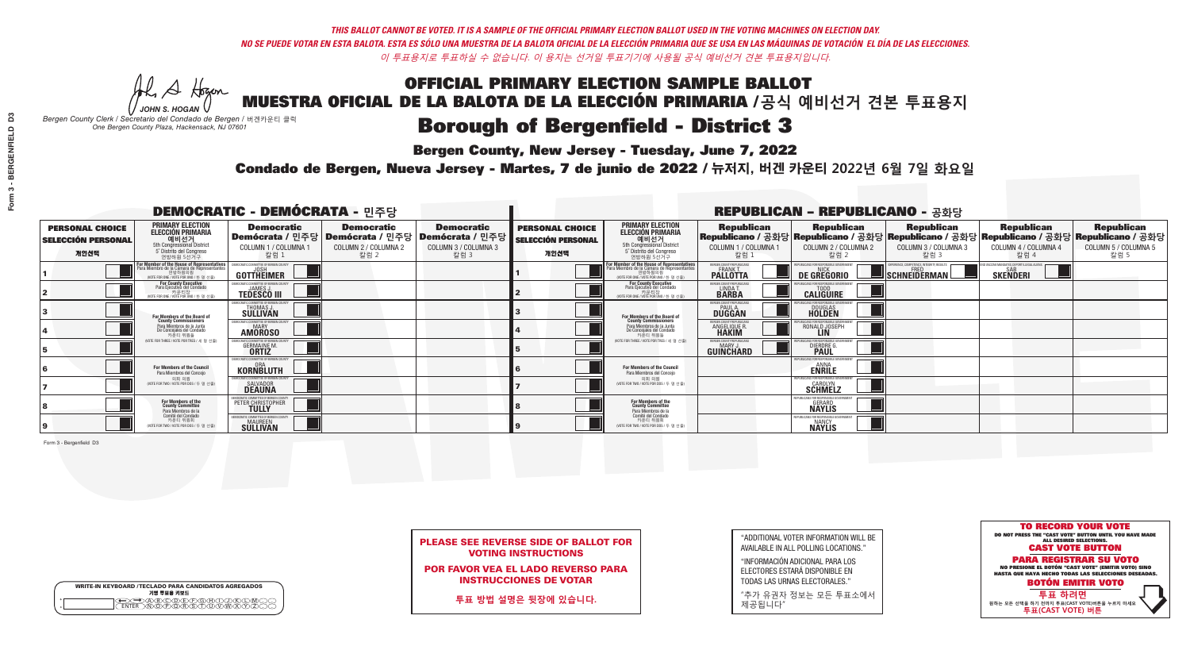**Bergen County, New Jersey - Tuesday, June 7, 2022** 

A Hogen *JOHN S. HOGAN*

|        | <b>WRITE-IN KEYBOARD /TECLADO PARA CANDIDATOS AGREGADOS</b><br>기명 투표용 키보드 |  |
|--------|---------------------------------------------------------------------------|--|
| o<br>o | )(B)C)(D)(E)(F)(G)(H)(T)<br><u>፝ዀ፝፟፟</u> ፙ፝ዾ፝ዾ፝ዾዾ                         |  |

*Bergen County Clerk / Secretario del Condado de Bergen /* 버겐카운티 클럭 *One Bergen County Plaza, Hackensack, NJ 07601*



PLEASE SEE REVERSE SIDE OF BALLOT FOR VOTING INSTRUCTIONS

POR FAVOR VEA EL LADO REVERSO PARA INSTRUCCIONES DE VOTAR

**투표 방법 설명은 뒷장에 있습니다.**

"ADDITIONAL VOTER INFORMATION WILL BE AVAILABLE IN ALL POLLING LOCATIONS."

"INFORMACIÓN ADICIONAL PARA LOS ELECTORES ESTARÁ DISPONIBLE EN TODAS LAS URNAS ELECTORALES."

"추가 유권자 정보는 모든 투표소에서 제공됩니다"

Condado de Bergen, Nueva Jersey - Martes, 7 de junio de 2022 / 뉴저지, 버겐 카운티 2022년 6월 7일 화요일 *One Bergen County Plaza, Hackensack, NJ 07601*

|                                                             |                                                                                                                                             | <b>DEMOCRATIC - DEMÓCRATA - 민주당</b>                                      |                                                   |                                                                                                        |                                                             |                                                                                                                                               |                                                            | <b>REPUBLICAN - REPUBLICANO - 공화당</b>             |                                                                                                                                                |                                                             |                                                   |
|-------------------------------------------------------------|---------------------------------------------------------------------------------------------------------------------------------------------|--------------------------------------------------------------------------|---------------------------------------------------|--------------------------------------------------------------------------------------------------------|-------------------------------------------------------------|-----------------------------------------------------------------------------------------------------------------------------------------------|------------------------------------------------------------|---------------------------------------------------|------------------------------------------------------------------------------------------------------------------------------------------------|-------------------------------------------------------------|---------------------------------------------------|
| <b>PERSONAL CHOICE</b><br><b>SELECCIÓN PERSONAL</b><br>개인선택 | <b>PRIMARY ELECTION</b><br><b>ELECCIÓN PRIMARIA</b><br>예비선거<br>5th Congressional District<br>5° Distrito del Congreso<br>연방하원 5선거구          | <b>Democratic</b><br>COLUMN 1 / COLUMNA 1<br>칼럼 :                        | <b>Democratic</b><br>COLUMN 2 / COLUMNA 2<br>칼럼 2 | <b>Democratic</b><br>│Demócrata / 민주당│Demócrata / 민주당│Demócrata / 민주당┃<br>COLUMN 3 / COLUMNA 3<br>칼럼 3 | <b>PERSONAL CHOICE</b><br><b>SELECCIÓN PERSONAL</b><br>개인선택 | <b>PRIMARY ELECTION</b><br>ELECCIÓN PRIMARIA<br>예비선거<br>5th Congressional District<br>5° Distrito del Congreso<br>연방하원 5선거구                   | <b>Republican</b><br>COLUMN 1 / COLUMNA 1<br>칼럼            | <b>Republican</b><br>COLUMN 2 / COLUMNA 2<br>칼럼 2 | <b>Republican</b><br>Republicano / 공화당 Republicano / 공화당 Republicano / 공화당 Republicano / 공화당 Republicano / 공화당<br>COLUMN 3 / COLUMNA 3<br>칼럼 3 | <b>Republican</b><br>COLUMN 4 / COLUMNA 4<br>칼럼 4           | <b>Republican</b><br>COLUMN 5 / COLUMNA 5<br>칼럼 5 |
|                                                             | or Member of the House of Representatives<br>ara Miembro de la Cámara de Representantes<br>연방하원의원<br>(VOTE FOR ONE / VOTE POR UNO / 한 명 선출) | GOTTHEIMER                                                               |                                                   |                                                                                                        |                                                             | For Member of the House of Representatives<br>Para Miembro de la Cámara de Representantes<br>연방하원의원<br>(VOTE FOR ONE / VOTE POR UNO / 한 명 선출) | BERGEN COUNTY REPUBLICANS<br>FRANK T.<br><b>PALLOTTA</b>   | DE GREGORIO                                       | PERIENCE, COMPETENCE, INTEGRITY, RESULTS<br>SCHNEIDERMAN                                                                                       | VACCINE MANDATES, DEPORT ILLEGAL ALIENS.<br><b>SKENDERI</b> |                                                   |
|                                                             | <b>For County Executive</b><br>Para Ejecutivo del Condado<br>가운티장 - 카운티장<br>(VOTE FOR ONE / VOTE POR UNO / 한 명 선출)                          | DEMOCRATIC COMMITTEE OF BERGEN COUNTY<br><b>TEDESCO III</b>              |                                                   |                                                                                                        |                                                             | <b>For County Executive</b><br>Para Ejecutivo del Condado<br>카운티장<br>(VOTE FOR ONE / VOTE POR UNO / 한 명 선출)                                   | BERGEN COUNTY REPUBLICAN<br>LINDA T.<br><b>BARBA</b>       | <b>CALIGUIRE</b>                                  |                                                                                                                                                |                                                             |                                                   |
|                                                             | <b>For Members of the Board of<br/>County Commissioners</b>                                                                                 | <b><i>MOCRATIC COMMITTEE OF BERGEN COUNT</i></b><br>THOMAS J.            |                                                   |                                                                                                        |                                                             | For Members of the Board of<br>County Commissioners                                                                                           | ERGEN COUNTY REPUBLICAN<br><b>PAUL A.</b><br><b>DUGGAN</b> | <b>DOUGLAS</b>                                    |                                                                                                                                                |                                                             |                                                   |
|                                                             | Para Miembros de la Junta<br>De Concejales del Condado<br>카우티 위원들                                                                           | <b>CRATIC COMMITTEE OF BERGEN COUNT</b><br><b>MARY</b><br><b>AMOROSO</b> |                                                   |                                                                                                        |                                                             | Para Miembros de la Junta<br>De Concejales del Condado<br>카우티 위원들                                                                             | RGEN COUNTY REPUBLICAN<br><b>ANGELIQUE R</b>               | RONALD JOSEPH                                     |                                                                                                                                                |                                                             |                                                   |
|                                                             | NOTE FOR THREE / VOTE POR TRES / 세 명 선출)                                                                                                    | ATIC COMMITTEE OF BERGEN COI<br><b>GERMAINE M.</b>                       |                                                   |                                                                                                        |                                                             | (VOTE FOR THREE / VOTE POR TRES / 세 명 선출)                                                                                                     | ERGEN COUNTY REPUBLICANS<br>MARY J<br>GUINCHARD            | FNR RESPNNSIRI E 1<br><b>DIERDRE</b>              |                                                                                                                                                |                                                             |                                                   |
|                                                             | For Members of the Council<br>Para Miembros del Conceio                                                                                     | EMOCRATIC COMMITTEE OF BERGEN COUNTY<br><b>KORNBLUTH</b>                 |                                                   |                                                                                                        |                                                             | For Members of the Council<br>Para Miembros del Concejo                                                                                       |                                                            | PHRI ICANS ENR RESPONSIRI E (<br><b>ENRILE</b>    |                                                                                                                                                |                                                             |                                                   |
|                                                             | 의회 의원<br>(VOTE FOR TWO / VOTE POR DOS / 두 명 선출)                                                                                             | MOCRATIC COMMITTEE OF BERGEN COUNTY<br><b>SALVADOR</b>                   |                                                   |                                                                                                        |                                                             | 의회 의원<br>NOTE FOR TWO / VOTE POR DOS / 두 명 선출)                                                                                                |                                                            | PUBLICANS FOR RESPONSIBLE (<br><b>SCHMELZ</b>     |                                                                                                                                                |                                                             |                                                   |
|                                                             | For Members of the<br>County Committee<br>Para Miembros de la<br>Comité del Condado                                                         | PETER CHRISTOPHER                                                        |                                                   |                                                                                                        |                                                             | For Members of the<br>County Committee<br>Para Miembros de la<br>Comité del Condado                                                           |                                                            | <b>GERARD</b><br><b>NAYLIS</b>                    |                                                                                                                                                |                                                             |                                                   |
|                                                             | 카운티 위원회<br>(VOTE FOR TWO / VOTE POR DOS / 두 명 선출)                                                                                           | <b>EMOCRATIC COMMITTEE OF BERGEN COUNT</b><br><b>SULLIVAN</b>            |                                                   |                                                                                                        |                                                             | 카운티 위원회<br>(VOTE FOR TWO / VOTE POR DOS / 두 명 선출)                                                                                             |                                                            | NANCY<br><b>NÄYLIS</b>                            |                                                                                                                                                |                                                             |                                                   |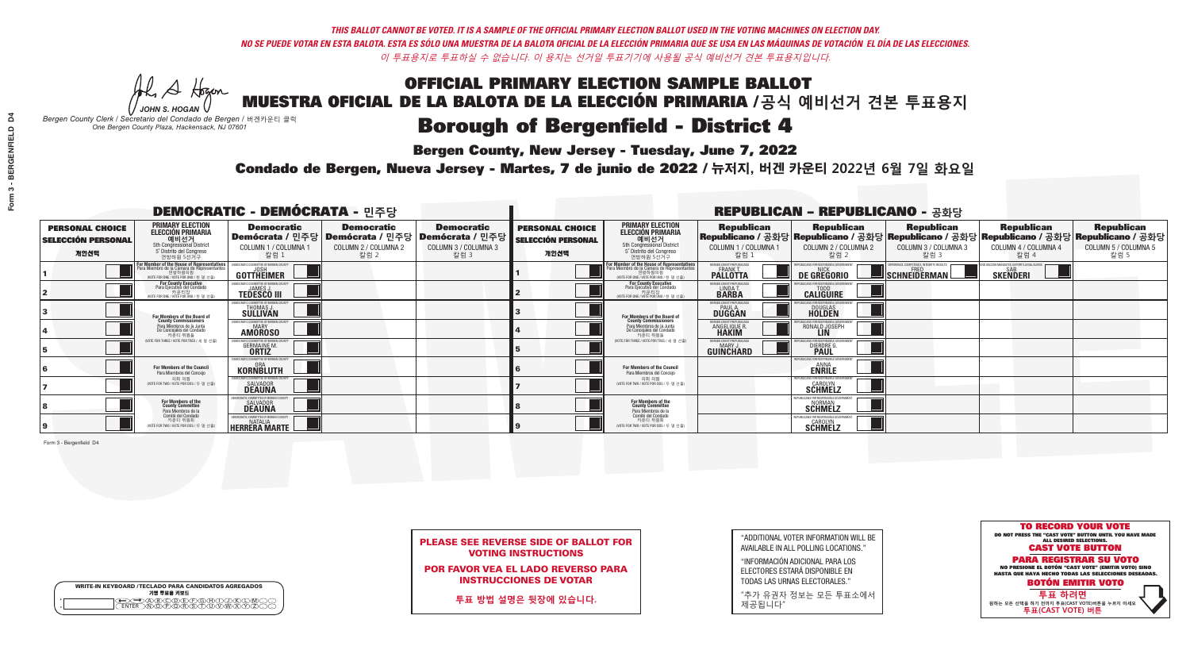**Bergen County, New Jersey - Tuesday, June 7, 2022** 

Al Stogen *JOHN S. HOGAN*

| <b>WRITE-IN KEYBOARD /TECLADO PARA CANDIDATOS AGREGADOS</b><br>기명 투표용 키보드 |  |
|---------------------------------------------------------------------------|--|
| YOODEYEYBAN<br>o<br>$\circ$                                               |  |

*Bergen County Clerk / Secretario del Condado de Bergen /* 버겐카운티 클럭 *One Bergen County Plaza, Hackensack, NJ 07601*



|  | <b>PLEASE SEE REVERSE SIDE OF BALLOT FOR</b> |  |  |
|--|----------------------------------------------|--|--|
|  | <b>VOTING INSTRUCTIONS</b>                   |  |  |

POR FAVOR VEA EL LADO REVERSO PARA INSTRUCCIONES DE VOTAR

**투표 방법 설명은 뒷장에 있습니다.**

"ADDITIONAL VOTER INFORMATION WILL BE AVAILABLE IN ALL POLLING LOCATIONS."

"INFORMACIÓN ADICIONAL PARA LOS ELECTORES ESTARÁ DISPONIBLE EN TODAS LAS URNAS ELECTORALES."

"추가 유권자 정보는 모든 투표소에서 제공됩니다"

Condado de Bergen, Nueva Jersey - Martes, 7 de junio de 2022 / 뉴저지, 버겐 카운티 2022년 6월 7일 화요일 *One Bergen County Plaza, Hackensack, NJ 07601*

|                                                             |                                                                                                                                             | <b>DEMOCRATIC - DEMÓCRATA - 민주당</b>                                       |                                                   |                                                                                                        |                                                             |                                                                                                                                               |                                                            | <b>REPUBLICAN - REPUBLICANO - 공화당</b>                 |                                                                                                                                                |                                                             |                                                   |
|-------------------------------------------------------------|---------------------------------------------------------------------------------------------------------------------------------------------|---------------------------------------------------------------------------|---------------------------------------------------|--------------------------------------------------------------------------------------------------------|-------------------------------------------------------------|-----------------------------------------------------------------------------------------------------------------------------------------------|------------------------------------------------------------|-------------------------------------------------------|------------------------------------------------------------------------------------------------------------------------------------------------|-------------------------------------------------------------|---------------------------------------------------|
| <b>PERSONAL CHOICE</b><br><b>SELECCIÓN PERSONAL</b><br>개인선택 | <b>PRIMARY ELECTION</b><br><b>ELECCIÓN PRIMARIA</b><br>예비선거<br>5th Congressional District<br>5° Distrito del Congreso<br>연방하원 5선거구          | <b>Democratic</b><br>COLUMN 1 / COLUMNA 1<br>칼럼 :                         | <b>Democratic</b><br>COLUMN 2 / COLUMNA 2<br>칼럼 2 | <b>Democratic</b><br>│Demócrata / 민주당│Demócrata / 민주당│Demócrata / 민주당┃<br>COLUMN 3 / COLUMNA 3<br>칼럼 3 | <b>PERSONAL CHOICE</b><br><b>SELECCIÓN PERSONAL</b><br>개인선택 | <b>PRIMARY ELECTION</b><br>ELECCIÓN PRIMARIA<br>예비선거<br>5th Congressional District<br>5° Distrito del Congreso<br>연방하원 5선거구                   | <b>Republican</b><br>COLUMN 1 / COLUMNA 1<br>칼럼            | <b>Republican</b><br>COLUMN 2 / COLUMNA 2<br>칼럼 2     | <b>Republican</b><br>Republicano / 공화당 Republicano / 공화당 Republicano / 공화당 Republicano / 공화당 Republicano / 공화당<br>COLUMN 3 / COLUMNA 3<br>칼럼 3 | <b>Republican</b><br>COLUMN 4 / COLUMNA 4<br>칼럼 4           | <b>Republican</b><br>COLUMN 5 / COLUMNA 5<br>칼럼 5 |
|                                                             | or Member of the House of Representatives<br>ara Miembro de la Cámara de Representantes<br>연방하원의원<br>(VOTE FOR ONE / VOTE POR UNO / 한 명 선출) | DEMOCRATIC COMMITTEE OF BERGEN COUNTY<br>JOSH<br><b>GOTTHEIMER</b>        |                                                   |                                                                                                        |                                                             | For Member of the House of Representatives<br>Para Miembro de la Cámara de Representantes<br>연방하원의원<br>(VOTE FOR ONE / VOTE POR UNO / 한 명 선출) | BERGEN COUNTY REPUBLICANS<br>FRANK T.<br><b>PALLOTTA</b>   | DE GREGORIO                                           | PERIENCE, COMPETENCE, INTEGRITY, RESULTS<br>SCHNEIDERMAN                                                                                       | VACCINE MANDATES, DEPORT ILLEGAL ALIENS.<br><b>SKENDERI</b> |                                                   |
|                                                             | <b>For County Executive</b><br>Para Ejecutivo del Condado<br>가운티장 - 카운티장<br>(VOTE FOR ONE / VOTE POR UNO / 한 명 선출)                          | )EMOCRATIC COMMITTEE OF BERGEN COUNTY<br><b>TEDESCO III</b>               |                                                   |                                                                                                        |                                                             | <b>For County Executive</b><br>Para Ejecutivo del Condado<br>카운티장<br>(VOTE FOR ONE / VOTE POR UNO / 한 명 선출)                                   | BERGEN COUNTY REPUBLICAN<br>LINDA T.                       | <b>CALIGUIRE</b>                                      |                                                                                                                                                |                                                             |                                                   |
|                                                             | For Members of the Board of<br>County Commissioners                                                                                         | <b><i>MOCRATIC COMMITTEE OF BERGEN COUNT</i></b><br>THOMAS J.             |                                                   |                                                                                                        |                                                             | For Members of the Board of<br>County Commissioners                                                                                           | ERGEN COUNTY REPUBLICAN<br><b>PAUL A.</b><br><b>DUGGAN</b> | <b>DOUGLAS</b>                                        |                                                                                                                                                |                                                             |                                                   |
|                                                             | Para Miembros de la Junta<br>De Concejales del Condado<br>카운티 위원들                                                                           | <b>OCRATIC COMMITTEE OF BERGEN COUNT</b><br><b>MARY</b><br><b>AMOROSO</b> |                                                   |                                                                                                        |                                                             | Para Miembros de la Junta<br>De Concejales del Condado<br>카우티 위원들                                                                             | <b>ERGEN COUNTY REPUBLICAN</b><br><b>ANGELIQUE R</b>       | RONALD JOSEPH                                         |                                                                                                                                                |                                                             |                                                   |
|                                                             | VOTE FOR THREE / VOTE POR TRES / 세 명 선출)                                                                                                    | <b>FIC COMMITTEE OF BEBGEN CO</b><br><b>GERMAINE M.</b>                   |                                                   |                                                                                                        |                                                             | NOTE FOR THREE / VOTE POR TRES / 세 명 선출)                                                                                                      | ERGEN COUNTY REPUBLICANS<br>MARY J<br>GUINCHARD            | FNR RESPNNSIRI F<br><b>DIERDRE</b>                    |                                                                                                                                                |                                                             |                                                   |
|                                                             | For Members of the Council<br>Para Miembros del Conceio                                                                                     | <b>EMOCRATIC COMMITTEE OF BERGEN COUNT</b><br><b>KORNBLUTH</b>            |                                                   |                                                                                                        |                                                             | For Members of the Council<br>Para Miembros del Concejo                                                                                       |                                                            | S FOR RESPONSIRI E (<br><b>ENRILE</b>                 |                                                                                                                                                |                                                             |                                                   |
|                                                             | 의회 의원<br>(VOTE FOR TWO / VOTE POR DOS / 두 명 선출)                                                                                             | MOCRATIC COMMITTEE OF BERGEN COUNTY<br>SALVADOR<br><b>DEAUNA</b>          |                                                   |                                                                                                        |                                                             | 의회 의원<br>(VOTE FOR TWO / VOTE POR DOS / 두 명 선출)                                                                                               |                                                            | PUBLICANS FOR RESPONSIBLE GOVERNME!<br><b>SCHMELZ</b> |                                                                                                                                                |                                                             |                                                   |
|                                                             | For Members of the<br>County Committee<br>Para Miembros de la<br>Comité del Condado                                                         | SALVADOR<br><b>DEAUNA</b>                                                 |                                                   |                                                                                                        |                                                             | For Members of the<br>County Committee<br>Para Miembros de la<br>Comité del Condado                                                           |                                                            | <b>SCHMELZ</b>                                        |                                                                                                                                                |                                                             |                                                   |
|                                                             | 카운티 위원회<br>NOTE FOR TWO / VOTE POR DOS / 두 명 선출)                                                                                            | <b>NATALIA</b><br><b>HERRERA MARTE L</b>                                  |                                                   |                                                                                                        |                                                             | 카운티 위원회<br>NOTE FOR TWO / VOTE POR DOS / 두 명 선출)                                                                                              |                                                            | <b>SCHMELZ</b>                                        |                                                                                                                                                |                                                             |                                                   |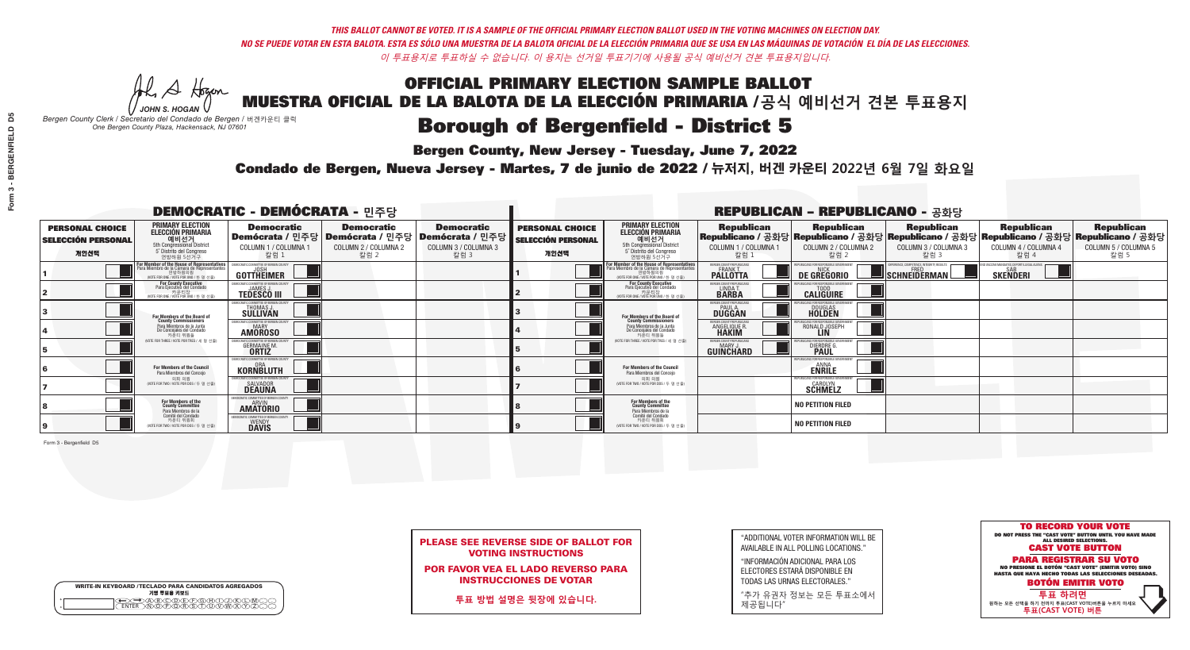**Bergen County, New Jersey - Tuesday, June 7, 2022** 

He A Hogan *JOHN S. HOGAN*

| <b>WRITE-IN KEYBOARD /TECLADO PARA CANDIDATOS AGREGADOS</b><br>기명 투표용 키보드 |  |
|---------------------------------------------------------------------------|--|
| ACBCODECPGCHOX<br><u>\ጝሸጽ</u> ጽጽችአ                                        |  |

*Bergen County Clerk / Secretario del Condado de Bergen /* 버겐카운티 클럭 *One Bergen County Plaza, Hackensack, NJ 07601*



| PLEASE SEE REVERSE SIDE OF BALLOT FOR |
|---------------------------------------|
| <b>VOTING INSTRUCTIONS</b>            |

POR FAVOR VEA EL LADO REVERSO PARA INSTRUCCIONES DE VOTAR

**투표 방법 설명은 뒷장에 있습니다.**

"ADDITIONAL VOTER INFORMATION WILL BE AVAILABLE IN ALL POLLING LOCATIONS."

"INFORMACIÓN ADICIONAL PARA LOS ELECTORES ESTARÁ DISPONIBLE EN TODAS LAS URNAS ELECTORALES."

"추가 유권자 정보는 모든 투표소에서 제공됩니다"

Condado de Bergen, Nueva Jersey - Martes, 7 de junio de 2022 / 뉴저지, 버겐 카운티 2022년 6월 7일 화요일 *One Bergen County Plaza, Hackensack, NJ 07601*

|                                                             |                                                                                                                                                  | <b>DEMOCRATIC - DEMÓCRATA - 민주당</b>                                  |                                                   |                                                                                                        |                                                             |                                                                                                                                                       |                                                               | <b>REPUBLICAN - REPUBLICANO - 공화당</b>                  |                                                                          |                                                                                                                                                |                                                   |
|-------------------------------------------------------------|--------------------------------------------------------------------------------------------------------------------------------------------------|----------------------------------------------------------------------|---------------------------------------------------|--------------------------------------------------------------------------------------------------------|-------------------------------------------------------------|-------------------------------------------------------------------------------------------------------------------------------------------------------|---------------------------------------------------------------|--------------------------------------------------------|--------------------------------------------------------------------------|------------------------------------------------------------------------------------------------------------------------------------------------|---------------------------------------------------|
| <b>PERSONAL CHOICE</b><br><b>SELECCIÓN PERSONAL</b><br>개인선택 | <b>PRIMARY ELECTION</b><br><b>ELECCIÓN PRIMARIA</b><br>예비선거<br><sup>예비선거</sup><br>5° Distrito del Congreso<br>연방하원 5선거구                          | <b>Democratic</b><br>COLUMN 1 / COLUMNA 1<br>칼럼 :                    | <b>Democratic</b><br>COLUMN 2 / COLUMNA 2<br>칼럼 2 | <b>Democratic</b><br>│Demócrata / 민주당│Demócrata / 민주당│Demócrata / 민주당│<br>COLUMN 3 / COLUMNA 3<br>칼럼 3 | <b>PERSONAL CHOICE</b><br><b>SELECCIÓN PERSONAL</b><br>개인선택 | <b>PRIMARY ELECTION</b><br>ELECCIÓN PRIMARIA<br>예비선거<br>5th Congressional District<br>5° Distrito del Congreso<br>연방하원 5선거구                           | <b>Republican</b><br>COLUMN 1 / COLUMNA 1<br>칼럼               | <b>Republican</b><br>COLUMN 2 / COLUMNA 2<br>·칼럼 2     | <b>Republican</b><br>COLUMN 3 / COLUMNA 3<br>칼럼 3                        | <b>Republican</b><br>Republicano / 공화당 Republicano / 공화당 Republicano / 공화당 Republicano / 공화당 Republicano / 공화당<br>COLUMN 4 / COLUMNA 4<br>칼럼 4 | <b>Republican</b><br>COLUMN 5 / COLUMNA 5<br>칼럼 5 |
|                                                             | <b>Thember of the House of Representatives</b><br>ara Miembro de la Cámara de Representantes<br>연방하원의원<br>(VOTE FOR ONE / VOTE POR UNO / 한 명 선출) | DEMOCRATIC COMMITTEE OF BERGEN COUNT<br>GOTTHEIMER                   |                                                   |                                                                                                        |                                                             | <b>For Member of the House of Representatives<br/>Para Miembro de la Cámara de Representantes</b><br>연방하원의원<br>(VOTE FOR ONE / VOTE POR UNO / 한 명 선출) | ERGEN COUNTY REPUBLICAN<br><b>FRANK T.</b><br><b>PALLOTTA</b> | DE GREGORIO                                            | (PERIENCE, COMPETENCE, INTEGRITY, RESULTS<br>$\blacksquare$ Schneiderman | ) VACCINE MANDATES. DEPORT ILLEGAL ALIENS.<br><b>SKENDERI</b>                                                                                  |                                                   |
|                                                             | <b>For County Executive</b><br>Para Ejecutivo del Condado<br>7 카운티장<br>(VOTE FOR ONE / VOTE POR UNO / 한 명 선출)                                    | DEMOCRATIC COMMITTEE OF BERGEN COUNTY<br><b>TEDESCO III</b>          |                                                   |                                                                                                        |                                                             | For County Executive<br>Para Ejecutivo del Condado<br>. 카운티장<br>(VOTE FOR ONE / VOTE POR UNO / 한 명 선출                                                 | BERGEN COUNTY REPUBLICAN<br>LINDA T.                          | <b>CALIGUIRE</b>                                       |                                                                          |                                                                                                                                                |                                                   |
|                                                             | For Members of the Board of<br>County Commissioners                                                                                              | MOCRATIC COMMITTEE OF BERGEN COUNTY<br>THOMAS J.                     |                                                   |                                                                                                        |                                                             | For Members of the Board of<br>County Commissioners                                                                                                   | ERGEN COUNTY REPUBLICAN<br><b>PAUL A.</b><br><b>DUGGAN</b>    | <b>DOUGLAS</b>                                         |                                                                          |                                                                                                                                                |                                                   |
|                                                             | Para Miembros de la Junta<br>De Concejales del Condado<br>카운티 위원들                                                                                | MOCRATIC COMMITTEE OF BERGEN COUNTY<br><b>MARY</b><br><b>AMOROSO</b> |                                                   |                                                                                                        |                                                             | Para Miembros de la Junta<br>De Concejales del Condado<br>카운티 위원들                                                                                     | ERGEN COUNTY REPUBLICAN<br>ANGELIQUE R                        | RONALD JOSEPH<br><b>LIN</b>                            |                                                                          |                                                                                                                                                |                                                   |
|                                                             | (VOTE FOR THREE / VOTE POR TRES / 세 명 선출)                                                                                                        | ATIC COMMITTEE OF BERGEN COUNT<br><b>GERMAINE M.</b>                 |                                                   |                                                                                                        |                                                             | (VOTE FOR THREE / VOTE POR TRES / 세 명 선출)                                                                                                             | ERGEN COUNTY REPUBLICANS<br>MARY J<br>GUINCHARD               | DIERDRE (                                              |                                                                          |                                                                                                                                                |                                                   |
|                                                             | <b>For Members of the Council</b><br>Para Miembros del Conceio                                                                                   | EMOCRATIC COMMITTEE OF BERGEN COUNTY<br><b>KORNBLUTH</b>             |                                                   |                                                                                                        |                                                             | <b>For Members of the Council</b><br>Para Miembros del Conceio                                                                                        |                                                               | PUBLICANS FOR RESPONSIBLE G(<br><b>ENRILE</b>          |                                                                          |                                                                                                                                                |                                                   |
|                                                             | 의회 의원<br>(VOTE FOR TWO / VOTE POR DOS / 두 명 선출)                                                                                                  | EMOCRATIC COMMITTEE OF BERGEN COUNTY<br>SALVADOR<br><b>DEAUNA</b>    |                                                   |                                                                                                        |                                                             | 의회 의원<br>NOTE FOR TWO / VOTE POR DOS / 두 명 선출)                                                                                                        |                                                               | PUBLICANS FOR RESPONSIBLE GOVERNMENT<br><b>SCHMELZ</b> |                                                                          |                                                                                                                                                |                                                   |
|                                                             | For Members of the<br>County Committee<br>Para Miembros de la                                                                                    | MOCRATIC COMMITTEE OF BERGEN COUNTY<br><b>AMATORIO</b>               |                                                   |                                                                                                        |                                                             | For Members of the<br>County Committee<br>Para Miembros de la<br>Comité del Condado                                                                   |                                                               | <b>NO PETITION FILED</b>                               |                                                                          |                                                                                                                                                |                                                   |
|                                                             | Comité del Condado<br>카운티 위원회<br>(VOTE FOR TWO / VOTE POR DOS / 두 명 선출)                                                                          | EMOCRATIC COMMITTEE OF BERGEN COUNTY<br><b>WENDY</b><br><b>DAVIS</b> |                                                   |                                                                                                        |                                                             | 카운티 위원회<br>(VOTE FOR TWO / VOTE POR DOS / 두 명 선출)                                                                                                     |                                                               | <b>NO PETITION FILED</b>                               |                                                                          |                                                                                                                                                |                                                   |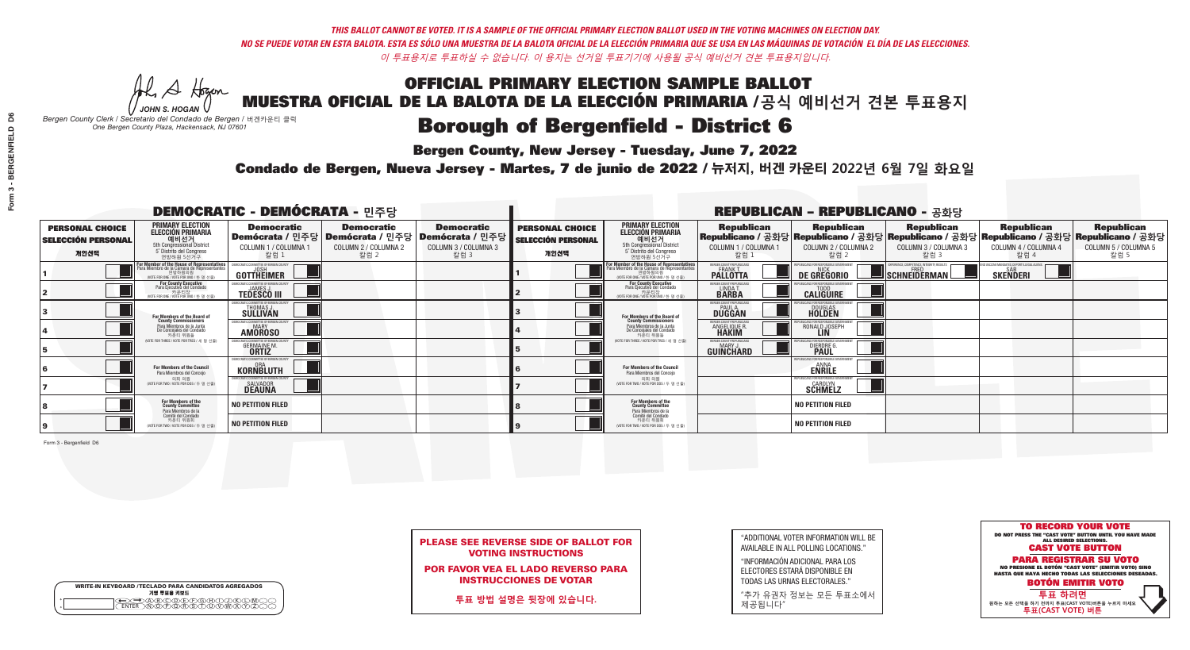**Bergen County, New Jersey - Tuesday, June 7, 2022** 

He A Hogan *JOHN S. HOGAN*

| <b>WRITE-IN KEYBOARD /TECLADO PARA CANDIDATOS AGREGADOS</b><br>기명 투표용 키보드 |  |
|---------------------------------------------------------------------------|--|
| )(B)(C)(D)(E)(F)(G)(H)(<br><u>አቅአሚያ ፈ</u> ን                               |  |

*Bergen County Clerk / Secretario del Condado de Bergen /* 버겐카운티 클럭 *One Bergen County Plaza, Hackensack, NJ 07601*



|  | <b>PLEASE SEE REVERSE SIDE OF BALLOT FOR</b> |  |  |
|--|----------------------------------------------|--|--|
|  | <b>VOTING INSTRUCTIONS</b>                   |  |  |

POR FAVOR VEA EL LADO REVERSO PARA INSTRUCCIONES DE VOTAR

**투표 방법 설명은 뒷장에 있습니다.**

"ADDITIONAL VOTER INFORMATION WILL BE AVAILABLE IN ALL POLLING LOCATIONS."

"INFORMACIÓN ADICIONAL PARA LOS ELECTORES ESTARÁ DISPONIBLE EN TODAS LAS URNAS ELECTORALES."

"추가 유권자 정보는 모든 투표소에서 제공됩니다"

Condado de Bergen, Nueva Jersey - Martes, 7 de junio de 2022 / 뉴저지, 버겐 카운티 2022년 6월 7일 화요일 *One Bergen County Plaza, Hackensack, NJ 07601*

|                                                             | <b>DEMOCRATIC - DEMÓCRATA - 민주당</b>                                                                                                |                                                                              |                                                   |                                                                                                        |                                                             |                                                                                                                                    |                                                                      | <b>REPUBLICAN - REPUBLICANO - 공화당</b>                   |                                                                                                                                                |                                                           |                                                   |
|-------------------------------------------------------------|------------------------------------------------------------------------------------------------------------------------------------|------------------------------------------------------------------------------|---------------------------------------------------|--------------------------------------------------------------------------------------------------------|-------------------------------------------------------------|------------------------------------------------------------------------------------------------------------------------------------|----------------------------------------------------------------------|---------------------------------------------------------|------------------------------------------------------------------------------------------------------------------------------------------------|-----------------------------------------------------------|---------------------------------------------------|
| <b>PERSONAL CHOICE</b><br><b>SELECCIÓN PERSONAL</b><br>개인선택 | <b>PRIMARY ELECTION</b><br><b>ELECCIÓN PRIMARIA</b><br>예비선거<br>5th Congressional District<br>5° Distrito del Congreso<br>연방하원 5선거구 | <b>Democratic</b><br>COLUMN 1 / COLUMNA 1<br>칼럼 1                            | <b>Democratic</b><br>COLUMN 2 / COLUMNA 2<br>칼럼 2 | <b>Democratic</b><br>│Demócrata / 민주당│Demócrata / 민주당│Demócrata / 민주당┃<br>COLUMN 3 / COLUMNA 3<br>칼럼 3 | <b>PERSONAL CHOICE</b><br><b>SELECCIÓN PERSONAL</b><br>개인선택 | <b>PRIMARY ELECTION</b><br><b>ELECCIÓN PRIMARIA</b><br>예비선거<br>5th Congressional District<br>5° Distrito del Congreso<br>연방하원 5선거구 | <b>Republican</b><br>COLUMN 1 / COLUMNA 1<br>칼럼 :                    | <b>Republican</b><br>COLUMN 2 / COLUMNA 2<br>참럼 2       | <b>Republican</b><br>Republicano / 공화당 Republicano / 공화당 Republicano / 공화당 Republicano / 공화당 Republicano / 공화당<br>COLUMN 3 / COLUMNA 3<br>칼럼 3 | <b>Republican</b><br>COLUMN 4 / COLUMNA 4<br>칼럼 4         | <b>Republican</b><br>COLUMN 5 / COLUMNA 5<br>칼럼 5 |
|                                                             | For Member of the House of Representatives<br>Para Miembro de la Cámara de Representantes                                          | EMOCRATIC COMMITTEE OF BERGEN CO<br>GOTTHEIMER                               |                                                   |                                                                                                        |                                                             | For Member of the House of Representatives<br>Para Miembro de la Cámara de Representantes                                          | ERGEN COUNTY REPUBLICAN<br><b>PALLOTTA</b>                           | DE GREGORIO                                             | SCHNEIDERMAN                                                                                                                                   | VACCINE MANDATES, DEPORT ILLEGAL ALIEN<br><b>SKENDERI</b> |                                                   |
|                                                             | For County Executive<br>Para Ejecutivo del Condado<br>. 카운티장<br>(VOTE FOR ONE / VOTE POR UNO / 한 명 선출)                             | <b>FMOCRATIC COMMITTEE OF BERGEN COUNT</b><br><b>TEDESCO III</b>             |                                                   |                                                                                                        |                                                             | For County Executive<br>Para Ejecutivo del Condado<br>. 카운티장<br>(VOTE FOR ONE / VOTE POR UNO / 한 명 선출                              | BERGEN COUNTY REPUBLICAN<br>LINDA T.                                 | <b>CALIGUIRE</b>                                        |                                                                                                                                                |                                                           |                                                   |
|                                                             | For Members of the Board of<br>County Commissioners                                                                                | EMOCRATIC COMMITTEE OF BERGEN COUNT<br>THOMAS J.<br>SÜLLIVAN                 |                                                   |                                                                                                        |                                                             | For Members of the Board of<br>County Commissioners                                                                                | ERGEN COUNTY REPUBLICAN<br><b>PAUL A.</b><br><b>DUGGAN</b>           | <b>DOUGLAS</b>                                          |                                                                                                                                                |                                                           |                                                   |
|                                                             | Para Miembros de la Junta<br>De Concejales del Condado<br>카우티 위원들                                                                  | <b>EMOCRATIC COMMITTEE OF BEBGEN COUNTY</b><br><b>MARY</b><br><b>AMOROSO</b> |                                                   |                                                                                                        |                                                             | Para Miembros de la Junta<br>De Concejales del Condado<br>카운티 위원들                                                                  | <b>FRGEN COUNTY REPUBLICAN</b><br><b>ANGELIQUE R</b><br><b>HAKIM</b> | RONALD JOSEPH                                           |                                                                                                                                                |                                                           |                                                   |
|                                                             | (VOTE FOR THREE / VOTE POR TRES / 세 명 선출)                                                                                          | <b>CRATIC COMMITTEE OF BERGEN COUNT</b><br><b>GERMAINE M.</b>                |                                                   |                                                                                                        |                                                             | NOTE FOR THREE / VOTE POR TRES / 세 명 선출)                                                                                           | ERGEN COUNTY REPUBLICANS<br>MARY .I<br>GUINCHARD                     | DIERDRE G                                               |                                                                                                                                                |                                                           |                                                   |
|                                                             | <b>For Members of the Council</b><br>Para Miembros del Conceio                                                                     | EMOCRATIC COMMITTEE OF BERGEN COUNTY<br><b>KORNBLUTH</b>                     |                                                   |                                                                                                        |                                                             | <b>For Members of the Council</b><br>Para Miembros del Conceio                                                                     |                                                                      | PUBLICANS FOR RESPONSIBLE GO<br><b>ENRILE</b>           |                                                                                                                                                |                                                           |                                                   |
|                                                             | 의회 의원<br>(VOTE FOR TWO / VOTE POR DOS / 두 명 선출)                                                                                    | EMOCRATIC COMMITTEE OF BERGEN COUNTY<br>SALVADOR<br><b>DEAUNA</b>            |                                                   |                                                                                                        |                                                             | 의회 의원<br>NOTE FOR TWO / VOTE POR DOS / 두 명 선출)                                                                                     |                                                                      | EPUBLICANS FOR RESPONSIBLE GOVERNMENT<br><b>SCHMELZ</b> |                                                                                                                                                |                                                           |                                                   |
|                                                             | For Members of the<br>County Committee<br>Para Miembros de la<br>Comité del Condado                                                | <b>NO PETITION FILED</b>                                                     |                                                   |                                                                                                        |                                                             | For Members of the<br>County Committee<br>Para Miembros de la<br>Comité del Condado                                                |                                                                      | <b>NO PETITION FILED</b>                                |                                                                                                                                                |                                                           |                                                   |
|                                                             | 카운티 위원회<br>(VOTE FOR TWO / VOTE POR DOS / 두 명 선출)                                                                                  | <b>NO PETITION FILED</b>                                                     |                                                   |                                                                                                        |                                                             | 카운티 위원회<br>(VOTE FOR TWO / VOTE POR DOS / 두 명 선출)                                                                                  |                                                                      | NO PETITION FILED                                       |                                                                                                                                                |                                                           |                                                   |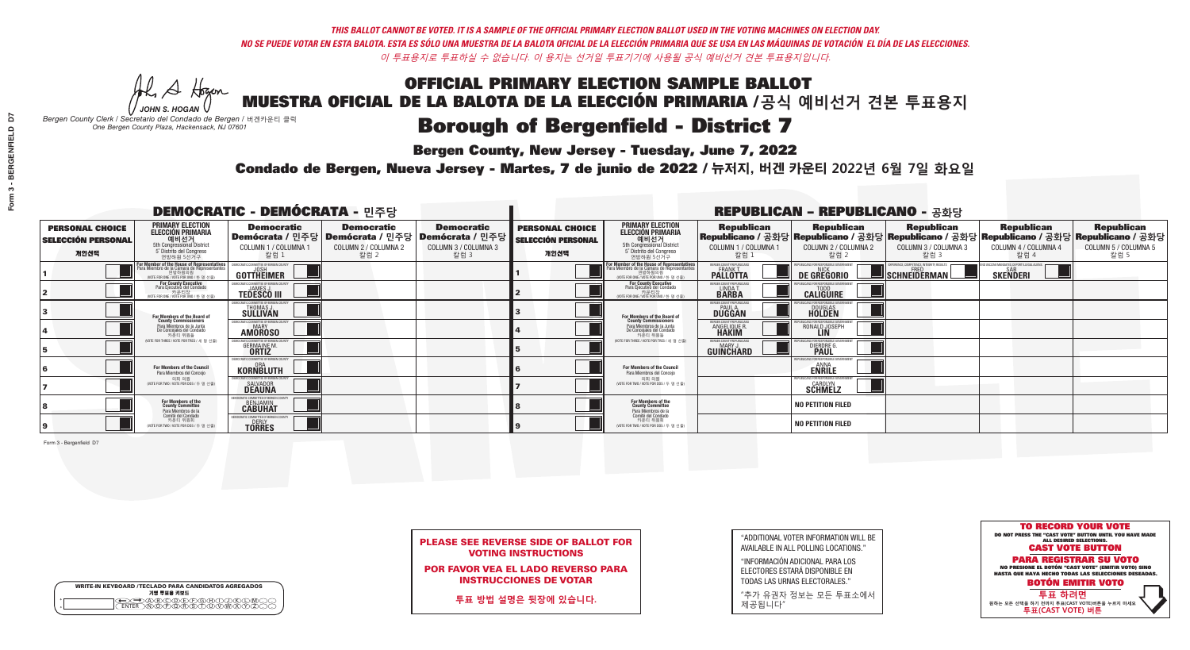**Bergen County, New Jersey - Tuesday, June 7, 2022** 

A Hogen *JOHN S. HOGAN*

|        | <b>WRITE-IN KEYBOARD /TECLADO PARA CANDIDATOS AGREGADOS</b><br>기명 투표용 키보드 |  |
|--------|---------------------------------------------------------------------------|--|
| o<br>o | )(B)C)(D)(E)(F)(G)(H)(T)<br><u>፝ዀ፝፟፟</u> ፙ፝ዾ፝ዾ፝ዾዾ                         |  |

*Bergen County Clerk / Secretario del Condado de Bergen /* 버겐카운티 클럭 *One Bergen County Plaza, Hackensack, NJ 07601*



PLEASE SEE REVERSE SIDE OF BALLOT FOR VOTING INSTRUCTIONS

POR FAVOR VEA EL LADO REVERSO PARA INSTRUCCIONES DE VOTAR

**투표 방법 설명은 뒷장에 있습니다.**

"ADDITIONAL VOTER INFORMATION WILL BE AVAILABLE IN ALL POLLING LOCATIONS."

"INFORMACIÓN ADICIONAL PARA LOS ELECTORES ESTARÁ DISPONIBLE EN TODAS LAS URNAS ELECTORALES."

"추가 유권자 정보는 모든 투표소에서 제공됩니다"

Condado de Bergen, Nueva Jersey - Martes, 7 de junio de 2022 / 뉴저지, 버겐 카운티 2022년 6월 7일 화요일 *One Bergen County Plaza, Hackensack, NJ 07601*

|                                                             | <b>DEMOCRATIC - DEMÓCRATA - 민주당</b>                                                                                                |                                                                                                        |                                                   |                                                   |                                                             |                                                                                                                                               |                                                            | <b>REPUBLICAN - REPUBLICANO - 공화당</b>                 |                                                                                                                                                |                                                   |                                                   |
|-------------------------------------------------------------|------------------------------------------------------------------------------------------------------------------------------------|--------------------------------------------------------------------------------------------------------|---------------------------------------------------|---------------------------------------------------|-------------------------------------------------------------|-----------------------------------------------------------------------------------------------------------------------------------------------|------------------------------------------------------------|-------------------------------------------------------|------------------------------------------------------------------------------------------------------------------------------------------------|---------------------------------------------------|---------------------------------------------------|
| <b>PERSONAL CHOICE</b><br><b>SELECCIÓN PERSONAL</b><br>개인선택 | <b>PRIMARY ELECTION</b><br><b>ELECCIÓN PRIMARIA</b><br>예비선거<br>5th Congressional District<br>5° Distrito del Congreso<br>연방하원 5선거구 | <b>Democratic</b><br>│Demócrata / 민주당│Demócrata / 민주당│Demócrata / 민주당┃<br>COLUMN 1 / COLUMNA 1<br>칼럼 1 | <b>Democratic</b><br>COLUMN 2 / COLUMNA 2<br>칼럼 2 | <b>Democratic</b><br>COLUMN 3 / COLUMNA 3<br>칼럼 3 | <b>PERSONAL CHOICE</b><br><b>SELECCIÓN PERSONAL</b><br>개인선택 | <b>PRIMARY ELECTION</b><br>ELECCIÓN PRIMARIA<br>5th Congressional District<br>5° Distrito del Congreso<br>연방하원 5선거구                           | <b>Republican</b><br>COLUMN 1 / COLUMNA 1<br>칼럼            | <b>Republican</b><br>COLUMN 2 / COLUMNA 2<br>칼럼 2     | <b>Republican</b><br>Republicano / 공화당 Republicano / 공화당 Republicano / 공화당 Republicano / 공화당 Republicano / 공화당<br>COLUMN 3 / COLUMNA 3<br>칼럼 3 | <b>Republican</b><br>COLUMN 4 / COLUMNA 4<br>칼럼 4 | <b>Republican</b><br>COLUMN 5 / COLUMNA 5<br>칼럼 5 |
|                                                             | For Member of the House of Representatives<br>Para Miembro de la Cámara de Representantes                                          | <b>GOTTHEIMER</b>                                                                                      |                                                   |                                                   |                                                             | For Member of the House of Representatives<br>Para Miembro de la Cámara de Representantes<br>연방하원의원<br>(VOTE FOR ONE / VOTE POR UNO / 한 명 선출) | ERGEN COUNTY REPUBLICAN<br><b>PALLOTTA</b>                 | DE GREGORIO                                           | SCHNEIDERMAN                                                                                                                                   | <b>SKENDERI</b>                                   |                                                   |
|                                                             | <b>For County Executive</b><br>Para Ejecutivo del Condado<br>WOTE FOR ONE / VOTE POR UNO / 한 명 선출)                                 | <b>TEDESCO III</b>                                                                                     |                                                   |                                                   |                                                             | <b>For County Executive</b><br>Para Ejecutivo del Condado<br>WOTE FOR ONE / VOTE POR UNO / 한 명 선출                                             | BERGEN COUNTY REPUBLICA<br>LINDA T.                        | <b>CALIGUIRE</b>                                      |                                                                                                                                                |                                                   |                                                   |
|                                                             | For Members of the Board of<br>County Commissioners                                                                                | MOCRATIC COMMITTEE OF BERGEN COUN<br>THOMAS J.                                                         |                                                   |                                                   |                                                             | For Members of the Board of<br>County Commissioners                                                                                           | ERGEN COUNTY REPUBLICAN<br><b>PAUL A.</b><br><b>DUGGAN</b> | <b>DOUGLAS</b>                                        |                                                                                                                                                |                                                   |                                                   |
|                                                             | Para Miembros de la Junta<br>De Concejales del Condado<br>카운티 위원들                                                                  | MOCRATIC COMMITTEE OF BERGEN COUNT<br><b>MARY</b><br><b>AMOROSO</b>                                    |                                                   |                                                   |                                                             | Para Miembros de la Junta<br>De Concejales del Condado<br>카운티 위원들                                                                             | ERGEN COUNTY REPUBLICAN<br>ANGELIQUE R.<br><b>HAKIM</b>    | RONALD JOSEPH<br><b>LIN</b>                           |                                                                                                                                                |                                                   |                                                   |
|                                                             | (VOTE FOR THREE / VOTE POR TRES / 세 명 선출)                                                                                          | 'RATIC COMMITTEE OF RERGEN COLIN<br><b>GERMAINE M.</b>                                                 |                                                   |                                                   |                                                             | NOTE FOR THREE / VOTE POR TRES / 세 명 선출)                                                                                                      | ERGEN COUNTY REPUBLICANS<br>MARY J<br>GUINCHARD            | II ICANS FOR RESPONSIBLE<br>DIERDRE (                 |                                                                                                                                                |                                                   |                                                   |
|                                                             | For Members of the Council<br>Para Miembros del Conceio                                                                            | EMOCRATIC COMMITTEE OF BERGEN COUNTY<br>KORNBLUTH                                                      |                                                   |                                                   |                                                             | <b>For Members of the Council</b><br>Para Miembros del Conceio                                                                                |                                                            | PUBLICANS FOR RESPONSIBLE G<br><b>ENRILE</b>          |                                                                                                                                                |                                                   |                                                   |
|                                                             | 의회 의원<br>(VOTE FOR TWO / VOTE POR DOS / 두 명 선출)                                                                                    | <b>EMOCRATIC COMMITTEE OF BEBGEN COUNTY</b><br>SALVADOR<br><b>DEAUNA</b>                               |                                                   |                                                   |                                                             | 의회 의원<br>NOTE FOR TWO / VOTE POR DOS / 두 명 선출)                                                                                                |                                                            | PUBLICANS FOR RESPONSIBLE GOVERNME!<br><b>SCHMELZ</b> |                                                                                                                                                |                                                   |                                                   |
|                                                             | For Members of the<br>County Committee<br>Para Miembros de la                                                                      | DCRATIC COMMITTEE OF BERGEN COUNT<br><b>CABUHAT</b>                                                    |                                                   |                                                   |                                                             | For Members of the<br>County Committee<br>Para Miembros de la<br>Comité del Condado                                                           |                                                            | <b>NO PETITION FILED</b>                              |                                                                                                                                                |                                                   |                                                   |
|                                                             | Comité del Condado<br>카운티 위원회<br>(VOTE FOR TWO / VOTE POR DOS / 두 명 선출)                                                            | DCRATIC COMMITTEE OF BERGEN COUNTY<br><b>TORRES</b>                                                    |                                                   |                                                   |                                                             | 카운티 위원회<br>(VOTE FOR TWO / VOTE POR DOS / 두 명 선출)                                                                                             |                                                            | <b>NO PETITION FILED</b>                              |                                                                                                                                                |                                                   |                                                   |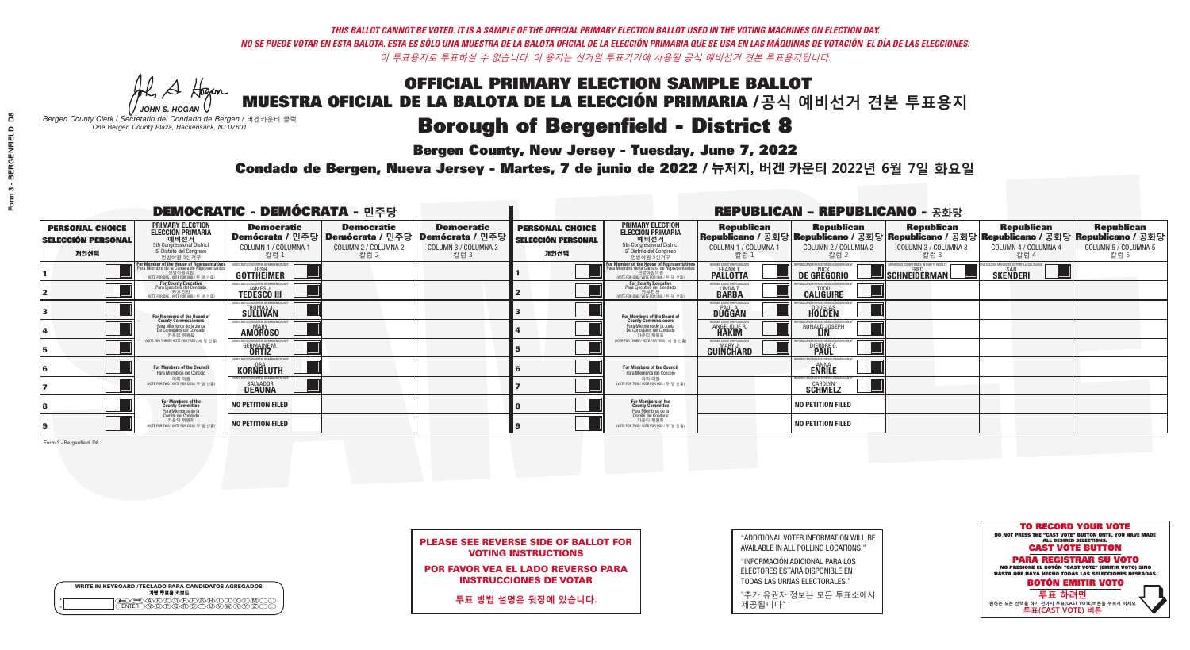**Bergen County, New Jersey - Tuesday, June 7, 2022** 

He A Hogan *JOHN S. HOGAN*

| <b>WRITE-IN KEYBOARD /TECLADO PARA CANDIDATOS AGREGADOS</b><br>기명 투표용 키보드 |
|---------------------------------------------------------------------------|
| ABODE/POH/L                                                               |

*Bergen County Clerk / Secretario del Condado de Bergen /* 버겐카운티 클럭 *One Bergen County Plaza, Hackensack, NJ 07601*



|  | <b>PLEASE SEE REVERSE SIDE OF BALLOT FOR</b> |  |  |
|--|----------------------------------------------|--|--|
|  | <b>VOTING INSTRUCTIONS</b>                   |  |  |

POR FAVOR VEA EL LADO REVERSO PARA INSTRUCCIONES DE VOTAR

**투표 방법 설명은 뒷장에 있습니다.**

"ADDITIONAL VOTER INFORMATION WILL BE AVAILABLE IN ALL POLLING LOCATIONS."

"INFORMACIÓN ADICIONAL PARA LOS ELECTORES ESTARÁ DISPONIBLE EN TODAS LAS URNAS ELECTORALES."

"추가 유권자 정보는 모든 투표소에서 제공됩니다"

Condado de Bergen, Nueva Jersey - Martes, 7 de junio de 2022 / 뉴저지, 버겐 카운티 2022년 6월 7일 화요일 *One Bergen County Plaza, Hackensack, NJ 07601*

|                                                             |                                                                                                                                               | <b>DEMOCRATIC - DEMÓCRATA - 민주당</b>                                           |                                                                                       |                                                                         |                                                             | <b>REPUBLICAN - REPUBLICANO - 공화당</b>                                                                                             |                                                            |                                                                                                                                                |                                                    |                                                           |                                                   |
|-------------------------------------------------------------|-----------------------------------------------------------------------------------------------------------------------------------------------|-------------------------------------------------------------------------------|---------------------------------------------------------------------------------------|-------------------------------------------------------------------------|-------------------------------------------------------------|-----------------------------------------------------------------------------------------------------------------------------------|------------------------------------------------------------|------------------------------------------------------------------------------------------------------------------------------------------------|----------------------------------------------------|-----------------------------------------------------------|---------------------------------------------------|
| <b>PERSONAL CHOICE</b><br><b>SELECCIÓN PERSONAL</b><br>개인선택 | <b>PRIMARY ELECTION</b><br><b>ELECCIÓN PRIMARIA</b><br>예비선거<br>5th Congressional District<br>5° Distrito del Congreso<br>연방하원 5선거구            | <b>Democratic</b><br>COLUMN 1 / COLUMNA 1<br>칼럼 1                             | <b>Democratic</b><br>│Demócrata / 민주당│Demócrata / 민주당<br>COLUMN 2 / COLUMNA 2<br>칼럼 2 | <b>Democratic</b><br>ː│Demócrata / 민주당│<br>COLUMN 3 / COLUMNA 3<br>칼럼 3 | <b>PERSONAL CHOICE</b><br><b>SELECCIÓN PERSONAL</b><br>개인선택 | <b>PRIMARY ELECTION</b><br>ELECCIÓN PRIMARIA<br>5th Congressional District<br>5° Distrito del Congreso<br>연방하원 5선거구               | <b>Republican</b><br>COLUMN 1 / COLUMNA 1<br>칼럼 :          | <b>Republican</b><br>Republicano / 공화당 Republicano / 공화당 Republicano / 공화당 Republicano / 공화당 Republicano / 공화당<br>COLUMN 2 / COLUMNA 2<br>칼럼 2 | <b>Republican</b><br>COLUMN 3 / COLUMNA 3<br>칼럼 3  | <b>Republican</b><br>COLUMN 4 / COLUMNA 4<br>칼럼 4         | <b>Republican</b><br>COLUMN 5 / COLUMNA 5<br>칼럼 5 |
|                                                             | For Member of the House of Representatives<br>Para Miembro de la Cámara de Representantes<br>연방하원의원<br>(VOTE FOR ONE / VOTE POR UNO / 한 명 선출) | EMOCRATIC COMMITTEE OF BERGEN CO<br>GOTTHEIMER                                |                                                                                       |                                                                         |                                                             | For Member of the House of Representatives<br>Para Miembro de la Cámara de Representantes<br>NOTE FOR ONE / VOTE POR UNO / 한 명 선출 | ERGEN COUNTY REPUBLICAN<br><b>PALLOTTA</b>                 | DE GREGORIO                                                                                                                                    | $\blacksquare$ Schneiderman $\mathbin{\mathsf{L}}$ | VACCINE MANDATES, DEPORT ILLEGAL ALIEN<br><b>SKENDERI</b> |                                                   |
|                                                             | For County Executive<br>Para Ejecutivo del Condado<br>. 카운티장<br>(VOTE FOR ONE / VOTE POR UNO / 한 명 선출)                                        | JEMOCRATIC COMMITTEE OF BERGEN COUNTY<br><b>JAMES J</b><br><b>TEDESCO III</b> |                                                                                       |                                                                         |                                                             | <b>For County Executive</b><br>Para Ejecutivo del Condado<br>. 카운티장<br>(VOTE FOR ONE / VOTE POR UNO / 한 명 선출                      | BERGEN COUNTY REPUBLICAN<br>LINDA T.                       | <b>CALIGUIRE</b>                                                                                                                               |                                                    |                                                           |                                                   |
|                                                             | For Members of the Board of<br>County Commissioners                                                                                           | MOCRATIC COMMITTEE OF BERGEN COUNTY<br>THOMAS J.<br>SÜLLIVAN                  |                                                                                       |                                                                         |                                                             | For Members of the Board of<br>County Commissioners                                                                               | ERGEN COUNTY REPUBLICAN<br><b>PAUL A.</b><br><b>DUGGAN</b> | <b>DOUGLAS</b><br><b>HOLDEN</b>                                                                                                                |                                                    |                                                           |                                                   |
|                                                             | Para Miembros de la Junta<br>De Concejales del Condado<br>카우티 위원들                                                                             | MOCRATIC COMMITTEE OF BERGEN COUNTY<br><b>MARY</b><br><b>AMOROSO</b>          |                                                                                       |                                                                         |                                                             | Para Miembros de la Junta<br>De Concejales del Condado<br>카우티 위원들                                                                 | <b>FRGEN COUNTY REPUBLICAN</b><br>ANGELIQUE R              | RONALD JOSEPH<br><b>LIN</b>                                                                                                                    |                                                    |                                                           |                                                   |
|                                                             | WOTE FOR THREE / VOTE POR TRES / 세 명 선출)                                                                                                      | CRATIC COMMITTEE OF BERGEN COUNT<br><b>GERMAINE M.</b>                        |                                                                                       |                                                                         |                                                             | NOTE FOR THREE / VOTE POR TRES / 세 명 선출)                                                                                          | BERGEN COUNTY REPUBLICANS<br>MARY .I<br>GUINCHARD          | <b>DIERDRE</b>                                                                                                                                 |                                                    |                                                           |                                                   |
|                                                             | <b>For Members of the Council</b><br>Para Miembros del Conceio                                                                                | EMOCRATIC COMMITTEE OF BERGEN COUNTY<br><b>KORNBLUTH</b>                      |                                                                                       |                                                                         |                                                             | <b>For Members of the Council</b><br>Para Miembros del Conceio                                                                    |                                                            | PUBLICANS FOR RESPONSIBLE GO<br><b>ENRILE</b>                                                                                                  |                                                    |                                                           |                                                   |
|                                                             | 의회 의원<br>(VOTE FOR TWO / VOTE POR DOS / 두 명 선출)                                                                                               | EMOCRATIC COMMITTEE OF BERGEN COUNTY<br><b>SALVADOR</b><br><b>DEAUNA</b>      |                                                                                       |                                                                         |                                                             | 의회 의원<br>WOTE FOR TWO / VOTE POR DOS / 두 명 선출)                                                                                    |                                                            | EPUBLICANS FOR RESPONSIBLE GOVERNMENT<br><b>SCHMELZ</b>                                                                                        |                                                    |                                                           |                                                   |
|                                                             | For Members of the<br>County Committee<br>Para Miembros de la<br>Comité del Condado                                                           | <b>NO PETITION FILED</b>                                                      |                                                                                       |                                                                         |                                                             | For Members of the<br>County Committee<br>Para Miembros de la<br>Comité del Condado                                               |                                                            | <b>NO PETITION FILED</b>                                                                                                                       |                                                    |                                                           |                                                   |
|                                                             | 카운티 위원회<br>(VOTE FOR TWO / VOTE POR DOS / 두 명 선출)                                                                                             | <b>NO PETITION FILED</b>                                                      |                                                                                       |                                                                         |                                                             | 카운티 위원회<br>(VOTE FOR TWO / VOTE POR DOS / 두 명 선출)                                                                                 |                                                            | NO PETITION FILED                                                                                                                              |                                                    |                                                           |                                                   |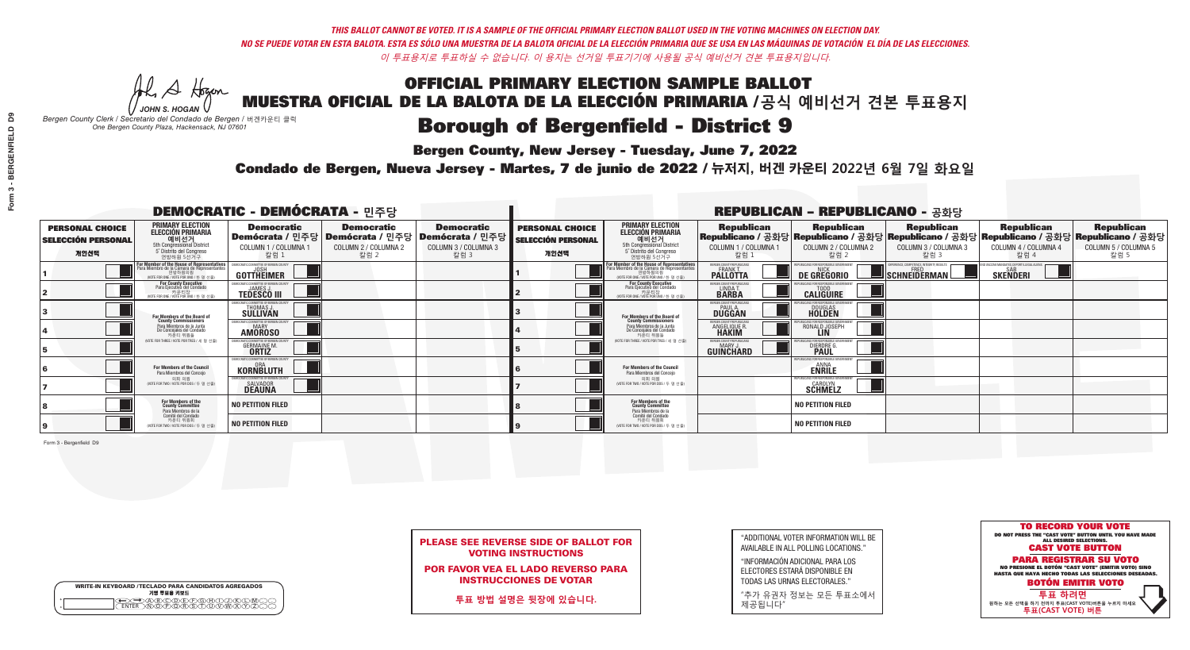**Bergen County, New Jersey - Tuesday, June 7, 2022** 

He A Hogan *JOHN S. HOGAN*

| <b>WRITE-IN KEYBOARD /TECLADO PARA CANDIDATOS AGREGADOS</b><br>기명 투표용 키보드 |  |
|---------------------------------------------------------------------------|--|
| ACBCODECPGCHC<br><b>፝ዀ፝፟ዀ፝ቑ</b> ፝ዾ፝ጞጞ                                     |  |

*Bergen County Clerk / Secretario del Condado de Bergen /* 버겐카운티 클럭 *One Bergen County Plaza, Hackensack, NJ 07601*



|  | <b>PLEASE SEE REVERSE SIDE OF BALLOT FOR</b> |  |  |
|--|----------------------------------------------|--|--|
|  | <b>VOTING INSTRUCTIONS</b>                   |  |  |

POR FAVOR VEA EL LADO REVERSO PARA INSTRUCCIONES DE VOTAR

**투표 방법 설명은 뒷장에 있습니다.**

"ADDITIONAL VOTER INFORMATION WILL BE AVAILABLE IN ALL POLLING LOCATIONS."

"INFORMACIÓN ADICIONAL PARA LOS ELECTORES ESTARÁ DISPONIBLE EN TODAS LAS URNAS ELECTORALES."

"추가 유권자 정보는 모든 투표소에서 제공됩니다"

Condado de Bergen, Nueva Jersey - Martes, 7 de junio de 2022 / 뉴저지, 버겐 카운티 2022년 6월 7일 화요일 *One Bergen County Plaza, Hackensack, NJ 07601*

|                                                             |                                                                                                                                    | <b>DEMOCRATIC - DEMÓCRATA - 민주당</b>                                     |                                                   |                                                                                                        |                                                             |                                                                                                                                    |                                                      | <b>REPUBLICAN - REPUBLICANO - 공화당</b>                  |                                                                                                                                                |                                                           |                                                   |
|-------------------------------------------------------------|------------------------------------------------------------------------------------------------------------------------------------|-------------------------------------------------------------------------|---------------------------------------------------|--------------------------------------------------------------------------------------------------------|-------------------------------------------------------------|------------------------------------------------------------------------------------------------------------------------------------|------------------------------------------------------|--------------------------------------------------------|------------------------------------------------------------------------------------------------------------------------------------------------|-----------------------------------------------------------|---------------------------------------------------|
| <b>PERSONAL CHOICE</b><br><b>SELECCIÓN PERSONAL</b><br>개인선택 | <b>PRIMARY ELECTION</b><br><b>ELECCIÓN PRIMARIA</b><br>예비선거<br>5th Congressional District<br>5° Distrito del Congreso<br>연방하원 5선거구 | <b>Democratic</b><br>COLUMN 1 / COLUMNA 1<br>칼럼 1                       | <b>Democratic</b><br>COLUMN 2 / COLUMNA 2<br>칼럼 2 | <b>Democratic</b><br>│Demócrata / 민주당│Demócrata / 민주당│Demócrata / 민주당┃<br>COLUMN 3 / COLUMNA 3<br>칼럼 3 | <b>PERSONAL CHOICE</b><br><b>SELECCIÓN PERSONAL</b><br>개인선택 | <b>PRIMARY ELECTION</b><br><b>ELECCIÓN PRIMARIA</b><br>예비선거<br>5th Congressional District<br>5° Distrito del Congreso<br>연방하원 5선거구 | <b>Republican</b><br>COLUMN 1 / COLUMNA 1<br>칼럼 :    | <b>Republican</b><br>COLUMN 2 / COLUMNA 2<br>참럼 2      | <b>Republican</b><br>Republicano / 공화당 Republicano / 공화당 Republicano / 공화당 Republicano / 공화당 Republicano / 공화당<br>COLUMN 3 / COLUMNA 3<br>칼럼 3 | <b>Republican</b><br>COLUMN 4 / COLUMNA 4<br>칼럼 4         | <b>Republican</b><br>COLUMN 5 / COLUMNA 5<br>칼럼 5 |
|                                                             | For Member of the House of Representatives<br>Para Miembro de la Cámara de Representantes                                          | EMOCRATIC COMMITTEE OF BERGEN CO<br>GOTTHEIMER                          |                                                   |                                                                                                        |                                                             | For Member of the House of Representatives<br>Para Miembro de la Cámara de Representantes                                          | BERGEN COUNTY REPUBLICAN<br><b>PALLOTTA</b>          | DE GREGORIO                                            | SCHNEIDERMAN                                                                                                                                   | VACCINE MANDATES, DEPORT ILLEGAL ALIEN<br><b>SKENDERI</b> |                                                   |
|                                                             | For County Executive<br>Para Ejecutivo del Condado<br>NOTE FOR ONE / VOTE POR UNO / 한 명 선출)                                        | EMOCRATIC COMMITTEE OF BERGEN COUNTY<br><b>TEDESCO III</b>              |                                                   |                                                                                                        |                                                             | For County Executive<br>Para Ejecutivo del Condado<br>카운티장<br>(VOTE FOR ONE / VOTE POR UNO / 한 명 선출)                               | BERGEN COUNTY REPUBLICAN<br>LINDA T.                 | <b>CALIGUIRE</b>                                       |                                                                                                                                                |                                                           |                                                   |
|                                                             | For Members of the Board of<br>County Commissioners                                                                                | EMOCRATIC COMMITTEE OF BERGEN COUNT<br>THOMAS J.<br>SÜLLIVAN            |                                                   |                                                                                                        |                                                             | For Members of the Board of<br>County Commissioners                                                                                | ERGEN COUNTY REPUBLICAN<br>PAUL A.<br><b>DUGGAN</b>  | <b>DOUGLAS</b>                                         |                                                                                                                                                |                                                           |                                                   |
|                                                             | Para Miembros de la Junta<br>De Concejales del Condado<br>카운티 위원들                                                                  | EMOCRATIC COMMITTEE OF BERGEN COUNTY<br><b>MARY</b><br><b>AMOROSO</b>   |                                                   |                                                                                                        |                                                             | Para Miembros de la Junta<br>De Concejales del Condado<br>카운티 위원들                                                                  | <b>FRGEN COUNTY REPUBLICAN</b><br><b>ANGELIQUE R</b> | RONALD JOSEPH<br><b>LIN</b>                            |                                                                                                                                                |                                                           |                                                   |
|                                                             | (VOTE FOR THREE / VOTE POR TRES / 세 명 선출)                                                                                          | OCRATIC COMMITTEE OF BERGEN COUNT<br><b>GERMAINE M.</b><br><b>ORTIZ</b> |                                                   |                                                                                                        |                                                             | (VOTE FOR THREE / VOTE POR TRES / 세 명 선출)                                                                                          | ERGEN COUNTY REPUBLICANS<br>MARY .I<br>GUINCHARD     | DIERDRE G                                              |                                                                                                                                                |                                                           |                                                   |
|                                                             | <b>For Members of the Council</b><br>Para Miembros del Conceio                                                                     | EMOCRATIC COMMITTEE OF BERGEN COUNTY<br><b>KORNBLUTH</b>                |                                                   |                                                                                                        |                                                             | <b>For Members of the Council</b><br>Para Miembros del Conceio                                                                     |                                                      | 'UBI ICANS FOR RESPONSIBI E GO<br><b>ENRILE</b>        |                                                                                                                                                |                                                           |                                                   |
|                                                             | 의회 의원<br>(VOTE FOR TWO / VOTE POR DOS / 두 명 선출)                                                                                    | EMOCRATIC COMMITTEE OF BERGEN COUNTY<br>SALVADOR<br><b>DEAUNA</b>       |                                                   |                                                                                                        |                                                             | 의회 의원<br>NOTE FOR TWO / VOTE POR DOS / 두 명 선출)                                                                                     |                                                      | PUBLICANS FOR RESPONSIBLE GOVERNMENT<br><b>SCHMELZ</b> |                                                                                                                                                |                                                           |                                                   |
|                                                             | For Members of the<br>County Committee<br>Para Miembros de la<br>Comité del Condado                                                | <b>NO PETITION FILED</b>                                                |                                                   |                                                                                                        |                                                             | For Members of the<br>County Committee<br>Para Miembros de la<br>Comité del Condado                                                |                                                      | <b>NO PETITION FILED</b>                               |                                                                                                                                                |                                                           |                                                   |
|                                                             | 카운티 위원회<br>(VOTE FOR TWO / VOTE POR DOS / 두 명 선출)                                                                                  | <b>NO PETITION FILED</b>                                                |                                                   |                                                                                                        |                                                             | 카운티 위원회<br>(VOTE FOR TWO / VOTE POR DOS / 두 명 선출)                                                                                  |                                                      | <b>NO PETITION FILED</b>                               |                                                                                                                                                |                                                           |                                                   |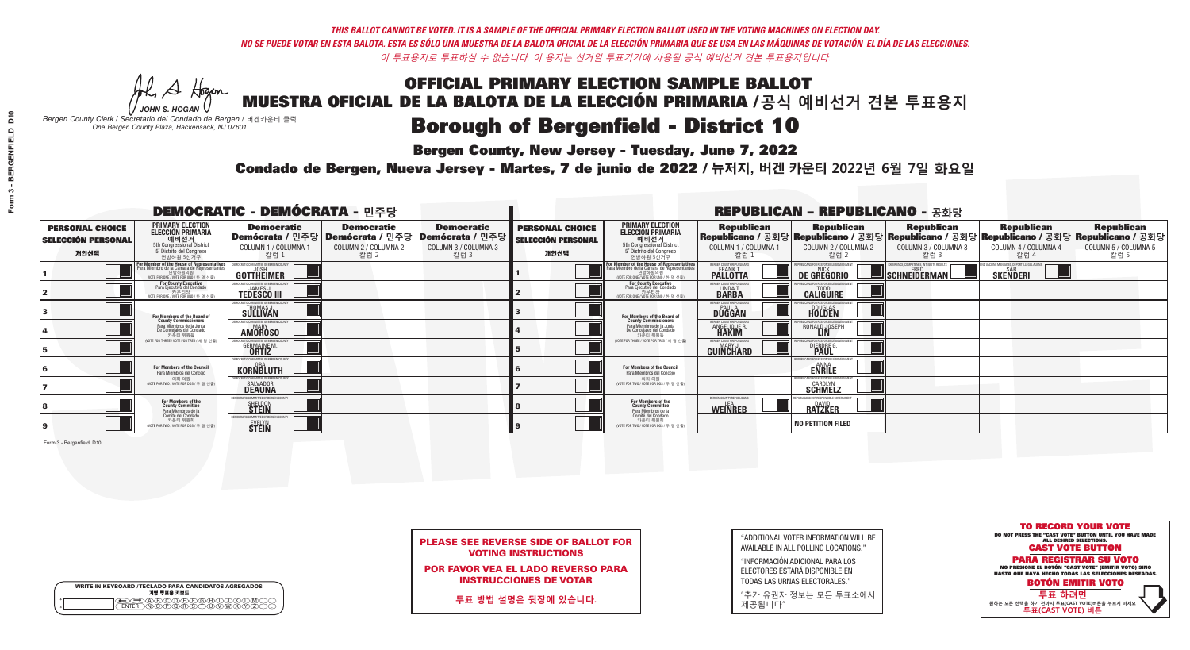A Hogen

| <b>WRITE-IN KEYBOARD /TECLADO PARA CANDIDATOS AGREGADOS</b><br>기명 투표용 키보드 |  |
|---------------------------------------------------------------------------|--|
| @®©®®®®®™©®<br>™®®®®®®™™®®                                                |  |

# **Borough of Bergenfield - District 10**

**Bergen County, New Jersey - Tuesday, June 7, 2022** 

*JOHN S. HOGAN Bergen County Clerk / Secretario del Condado de Bergen /* 버겐카운티 클럭 *One Bergen County Plaza, Hackensack, NJ 07601*

Condado de Bergen, Nueva Jersey - Martes, 7 de junio de 2022 / 뉴저지, 버겐 카운티 2022년 6월 7일 화요일 *One Bergen County Plaza, Hackensack, NJ 07601*



PLEASE SEE REVERSE SIDE OF BALLOT FOR VOTING INSTRUCTIONS

POR FAVOR VEA EL LADO REVERSO PARA INSTRUCCIONES DE VOTAR

**투표 방법 설명은 뒷장에 있습니다.**

| "ADDITIONAL VOTER INFORMATION WILL BE |
|---------------------------------------|
| AVAILABLE IN ALL POLLING LOCATIONS."  |

"INFORMACIÓN ADICIONAL PARA LOS ELECTORES ESTARÁ DISPONIBLE EN TODAS LAS URNAS ELECTORALES."

"추가 유권자 정보는 모든 투표소에서 제공됩니다"

|                                                             |                                                                                                                                               | <b>DEMOCRATIC - DEMÓCRATA - 민주당</b>                                      |                                                   |                                                                                                        |                                                             |                                                                                                                                   |                                                            | <b>REPUBLICAN - REPUBLICANO - 공화당</b>                                                                                                          |                                                    |                                                   |                                                   |
|-------------------------------------------------------------|-----------------------------------------------------------------------------------------------------------------------------------------------|--------------------------------------------------------------------------|---------------------------------------------------|--------------------------------------------------------------------------------------------------------|-------------------------------------------------------------|-----------------------------------------------------------------------------------------------------------------------------------|------------------------------------------------------------|------------------------------------------------------------------------------------------------------------------------------------------------|----------------------------------------------------|---------------------------------------------------|---------------------------------------------------|
| <b>PERSONAL CHOICE</b><br><b>SELECCIÓN PERSONAL</b><br>개인선택 | <b>PRIMARY ELECTION</b><br><b>ELECCIÓN PRIMARIA</b><br>예비선거<br>5th Congressional District<br>5° Distrito del Congreso<br>연방하원 5선거구            | <b>Democratic</b><br>COLUMN 1 / COLUMNA 1<br>칼럼 1                        | <b>Democratic</b><br>COLUMN 2 / COLUMNA 2<br>칼럼 2 | <b>Democratic</b><br>│Demócrata / 민주당│Demócrata / 민주당│Demócrata / 민주당│<br>COLUMN 3 / COLUMNA 3<br>칼럼 3 | <b>PERSONAL CHOICE</b><br><b>SELECCIÓN PERSONAL</b><br>개인선택 | <b>PRIMARY ELECTION</b><br>ELECCIÓN PRIMARIA<br>5th Congressional District<br>5° Distrito del Congreso<br>연방하원 5선거구               | <b>Republican</b><br>COLUMN 1 / COLUMNA 1<br>칼럼            | <b>Republican</b><br>Republicano / 공화당 Republicano / 공화당 Republicano / 공화당 Republicano / 공화당 Republicano / 공화당<br>COLUMN 2 / COLUMNA 2<br>참럼 2 | <b>Republican</b><br>COLUMN 3 / COLUMNA 3<br>칼럼 3  | <b>Republican</b><br>COLUMN 4 / COLUMNA 4<br>칼럼 4 | <b>Republican</b><br>COLUMN 5 / COLUMNA 5<br>칼럼 5 |
|                                                             | For Member of the House of Representatives<br>Para Miembro de la Cámara de Representantes<br>연방하원의원<br>(VOTE FOR ONE / VOTE POR UNO / 한 명 선출) | EMOCRATIC COMMITTEE OF BERGEN CO<br>GOTTHEIMER                           |                                                   |                                                                                                        |                                                             | For Member of the House of Representatives<br>Para Miembro de la Cámara de Representantes<br>WOTE FOR ONE / VOTE POR UNO / 한 명 선출 | ERGEN COUNTY REPUBLICAN<br><b>PALLOTTA</b>                 | DE GREGORIO                                                                                                                                    | $\blacksquare$ Schneiderman $\mathbin{\mathbb{I}}$ | <b>SKENDERI</b>                                   |                                                   |
|                                                             | For County Executive<br>Para Ejecutivo del Condado<br>. 카운티장<br>(VOTE FOR ONE / VOTE POR UNO / 한 명 선출)                                        | FMOCRATIC COMMITTEE OF BERGEN COUNTY<br><b>TEDESCO III</b>               |                                                   |                                                                                                        |                                                             | For County Executive<br>Para Ejecutivo del Condado<br>7) 카운티장<br>(VOTE FOR ONE / VOTE POR UNO / 한 명 선출)                           | BERGEN COUNTY REPUBLICAN<br>LINDA T.                       | <b>CALIGUIRE</b>                                                                                                                               |                                                    |                                                   |                                                   |
|                                                             | For Members of the Board of<br>County Commissioners                                                                                           | FMOCRATIC COMMITTEE OF BERGEN COUN'<br>THOMAS J.                         |                                                   |                                                                                                        |                                                             | For Members of the Board of<br>County Commissioners                                                                               | ERGEN COUNTY REPUBLICAN<br><b>PAUL A.</b><br><b>DUGGAN</b> | DOUGLAS<br>HOLDEN                                                                                                                              |                                                    |                                                   |                                                   |
|                                                             | Para Miembros de la Junta<br>De Concejales del Condado<br>카운티 위원들                                                                             | EMOCRATIC COMMITTEE OF BERGEN COUNT<br><b>MARY</b><br><b>AMOROSO</b>     |                                                   |                                                                                                        |                                                             | Para Miembros de la Junta<br>De Concejales del Condado<br>카운티 위원들                                                                 | RGEN COUNTY REPUBLICAN<br><b>ANGELIQUE R<br/>HAKIM</b>     | RONALD JOSEPH                                                                                                                                  |                                                    |                                                   |                                                   |
|                                                             | (VOTE FOR THREE / VOTE POR TRES / 세 명 선출)                                                                                                     | IOCRATIC COMMITTEE OF BERGEN COU<br><b>GERMAINE M.</b>                   |                                                   |                                                                                                        |                                                             | (VOTE FOR THREE / VOTE POR TRES / 세 명 선출)                                                                                         | ERGEN COUNTY REPUBLICANS<br>MARY.<br>GUINCHARD             | DIERDRE (                                                                                                                                      |                                                    |                                                   |                                                   |
|                                                             | For Members of the Council<br>Para Miembros del Conceio                                                                                       | FMOCRATIC COMMITTEE OF BERGEN COUNTY<br><b>KORNBLUTH</b>                 |                                                   |                                                                                                        |                                                             | <b>For Members of the Council</b><br>Para Miembros del Conceio                                                                    |                                                            | HIRI ICANS ENR RESPONSIRI E<br><b>ENRILE</b>                                                                                                   |                                                    |                                                   |                                                   |
|                                                             | 의회 의원<br>(VOTE FOR TWO / VOTE POR DOS / 두 명 선출)                                                                                               | EMOCRATIC COMMITTEE OF BERGEN COUNTY<br><b>SALVADOR</b><br><b>DEAUNA</b> |                                                   |                                                                                                        |                                                             | 의회 의원<br>NOTE FOR TWO / VOTE POR DOS / 두 명 선출)                                                                                    |                                                            | EPUBLICANS FOR RESPONSIBLE G<br><b>SCHMELZ</b>                                                                                                 |                                                    |                                                   |                                                   |
|                                                             | For Members of the<br>County Committee<br>Para Miembros de la<br>Comité del Condado                                                           | OCRATIC COMMITTEE OF BERGEN COI<br><b>SHELDON</b>                        |                                                   |                                                                                                        |                                                             | For Members of the<br>County Committee<br>Para Miembros de la<br>Comité del Condado                                               | BERGEN COUNTY REPUBLICANS<br><b>WEINREB</b>                | <b>BATZKER</b>                                                                                                                                 |                                                    |                                                   |                                                   |
|                                                             | 카운티 위원회<br>(VOTE FOR TWO / VOTE POR DOS / 두 명 선출)                                                                                             | MOCRATIC COMMITTEE OF BERGEN CO<br><b>EVELYN</b><br><b>STEIN</b>         |                                                   |                                                                                                        |                                                             | 카운티 위원회<br>(VOTE FOR TWO / VOTE POR DOS / 두 명 선출)                                                                                 |                                                            | NO PETITION FILED                                                                                                                              |                                                    |                                                   |                                                   |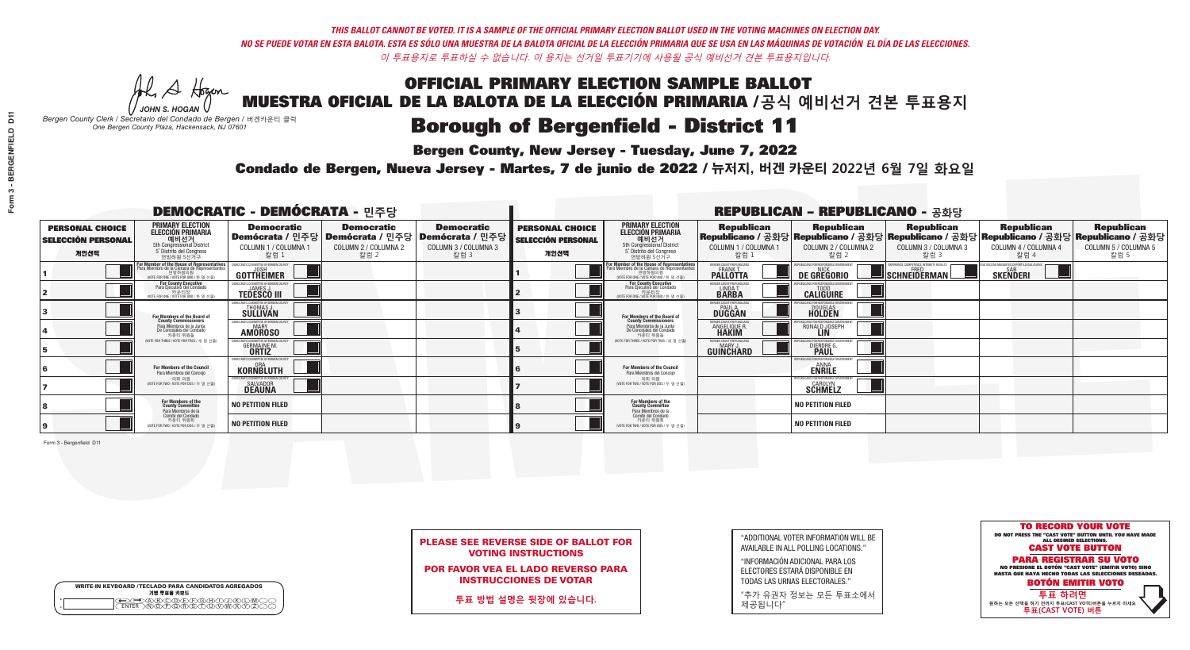A Hogen

| <b>WRITE-IN KEYBOARD /TECLADO PARA CANDIDATOS AGREGADOS</b><br>기명 투표용 키보드 |  |
|---------------------------------------------------------------------------|--|
| )(B)(C)(D)(E)(F)(G)(H)(<br><u>አቅአሚያ ፈ</u> ን                               |  |

# **Borough of Bergenfield - District 11**

**Bergen County, New Jersey - Tuesday, June 7, 2022** 

*JOHN S. HOGAN Bergen County Clerk / Secretario del Condado de Bergen /* 버겐카운티 클럭 *One Bergen County Plaza, Hackensack, NJ 07601*



PLEASE SEE REVERSE SIDE OF BALLOT FOR VOTING INSTRUCTIONS

POR FAVOR VEA EL LADO REVERSO PARA INSTRUCCIONES DE VOTAR

**투표 방법 설명은 뒷장에 있습니다.**

"ADDITIONAL VOTER INFORMATION WILL BE AVAILABLE IN ALL POLLING LOCATIONS."

"INFORMACIÓN ADICIONAL PARA LOS ELECTORES ESTARÁ DISPONIBLE EN TODAS LAS URNAS ELECTORALES."

"추가 유권자 정보는 모든 투표소에서 제공됩니다"

Condado de Bergen, Nueva Jersey - Martes, 7 de junio de 2022 / 뉴저지, 버겐 카운티 2022년 6월 7일 화요일 *One Bergen County Plaza, Hackensack, NJ 07601*

|                                                             |                                                                                                                                    | <b>DEMOCRATIC - DEMÓCRATA - 민주당</b>                                      |                                                   |                                                                                                        |                                                             |                                                                                                                                              |                                                            | <b>REPUBLICAN - REPUBLICANO - 공화당</b>                 |                                                                                                                                         |                                                   |                                                   |
|-------------------------------------------------------------|------------------------------------------------------------------------------------------------------------------------------------|--------------------------------------------------------------------------|---------------------------------------------------|--------------------------------------------------------------------------------------------------------|-------------------------------------------------------------|----------------------------------------------------------------------------------------------------------------------------------------------|------------------------------------------------------------|-------------------------------------------------------|-----------------------------------------------------------------------------------------------------------------------------------------|---------------------------------------------------|---------------------------------------------------|
| <b>PERSONAL CHOICE</b><br><b>SELECCIÓN PERSONAL</b><br>개인선택 | <b>PRIMARY ELECTION</b><br><b>ELECCIÓN PRIMARIA</b><br>예비선거<br>5th Congressional District<br>5° Distrito del Congreso<br>연방하원 5선거구 | <b>Democratic</b><br>COLUMN 1 / COLUMNA 1<br>칼럼 1                        | <b>Democratic</b><br>COLUMN 2 / COLUMNA 2<br>칼럼 2 | <b>Democratic</b><br>│Demócrata / 민주당│Demócrata / 민주당│Demócrata / 민주당│<br>COLUMN 3 / COLUMNA 3<br>칼럼 3 | <b>PERSONAL CHOICE</b><br><b>SELECCIÓN PERSONAL</b><br>개인선택 | <b>PRIMARY ELECTION</b><br><b>ELECCIÓN PRIMARIA</b><br>예비선거<br>5th Congressional District<br>5° Distrito del Congreso<br>연방하원 5선거구           | <b>Republican</b><br>COLUMN 1 / COLUMNA 1<br>, 칼럼 :        | <b>Republican</b><br>COLUMN 2 / COLUMNA 2<br>칼럼 2     | Republican<br>Republicano / 공화당 Republicano / 공화당 Republicano / 공화당 Republicano / 공화당 Republicano / 공화당<br>COLUMN 3 / COLUMNA 3<br>칼럼 3 | <b>Republican</b><br>COLUMN 4 / COLUMNA 4<br>칼럼 4 | <b>Republican</b><br>COLUMN 5 / COLUMNA 5<br>칼럼 5 |
|                                                             | For Member of the House of Representatives<br>Para Miembro de la Cámara de Representantes                                          | EMOCRATIC COMMITTEE OF BERGEN CO<br><b>GOTTHEIMER</b>                    |                                                   |                                                                                                        |                                                             | For Member of the House of Representatives<br>Para Miembro de la Cámara de Representantes<br>연방하원의원<br>(VOTE FOR ONE / VOTE POR UNO / 한 명 선출 | ERGEN COUNTY REPUBLICAN<br><b>PALLOTTA</b>                 | DE GREGORIO                                           | SCHNEIDERMAN                                                                                                                            | <b>SKENDERI</b>                                   |                                                   |
|                                                             | For County Executive<br>Para Ejecutivo del Condado<br>WOTE FOR ONE / VOTE POR UNO / 한 명 선출)                                        | JEMOCRATIC COMMITTEE OF BERGEN COUNT<br><b>TEDESCO III</b>               |                                                   |                                                                                                        |                                                             | For County Executive<br>Para Ejecutivo del Condado<br>WOTE FOR ONE / VOTE POR UNO / 한 명 선출                                                   | BERGEN COUNTY REPUBLICA<br>LINDAT.                         | <b>CALIGUIRE</b>                                      |                                                                                                                                         |                                                   |                                                   |
|                                                             | For Members of the Board of<br>County Commissioners                                                                                | EMOCRATIC COMMITTEE OF BERGEN COUNT<br>THOMAS J.                         |                                                   |                                                                                                        |                                                             | For Members of the Board of<br>County Commissioners                                                                                          | ERGEN COUNTY REPUBLICAN<br><b>PAUL A.</b><br><b>DUGGAN</b> | <b>DOUGLAS</b>                                        |                                                                                                                                         |                                                   |                                                   |
|                                                             | Para Miembros de la Junta<br>De Concejales del Condado<br>카운티 위원들                                                                  | EMOCRATIC COMMITTEE OF BERGEN COUNTY<br><b>MARY</b><br><b>AMOROSO</b>    |                                                   |                                                                                                        |                                                             | Para Miembros de la Junta<br>De Concejales del Condado<br>카운티 위원들                                                                            | ERGEN COUNTY REPUBLICAN<br><b>ANGELIQUE R</b>              | RONALD JOSEPH<br><b>LIN</b>                           |                                                                                                                                         |                                                   |                                                   |
|                                                             | (VOTE FOR THREE / VOTE POR TRES / 세 명 선출)                                                                                          | OCRATIC COMMITTEE OF RERGEN COLIN<br><b>GERMAINE M.</b><br><b>ORTIZ</b>  |                                                   |                                                                                                        |                                                             | (VOTE FOR THREE / VOTE POR TRES / 세 명 선출)                                                                                                    | ERGEN COUNTY REPUBLICANS<br>MARY J<br>GUINCHARD            | I ICANS FOR RESPONSIBLE (<br>DIERDRE (                |                                                                                                                                         |                                                   |                                                   |
|                                                             | <b>For Members of the Council</b><br>Para Miembros del Conceio                                                                     | EMOCRATIC COMMITTEE OF BERGEN COUNTY<br>KORNBLUTH                        |                                                   |                                                                                                        |                                                             | <b>For Members of the Council</b><br>Para Miembros del Conceio                                                                               |                                                            | PUBLICANS FOR RESPONSIBLE GO<br><b>ENRILE</b>         |                                                                                                                                         |                                                   |                                                   |
|                                                             | 의회 의원<br>(VOTE FOR TWO / VOTE POR DOS / 두 명 선출)                                                                                    | <b>EMOCRATIC COMMITTEE OF BERGEN COUNTY</b><br>SALVADOR<br><b>DEAUNA</b> |                                                   |                                                                                                        |                                                             | 의회 의원<br>WOTE FOR TWO / VOTE POR DOS / 두 명 선출)                                                                                               |                                                            | PUBLICANS FOR RESPONSIBLE GOVERNMEN<br><b>SCHMELZ</b> |                                                                                                                                         |                                                   |                                                   |
|                                                             | For Members of the<br>County Committee<br>Para Miembros de la<br>Comité del Condado                                                | <b>NO PETITION FILED</b>                                                 |                                                   |                                                                                                        |                                                             | For Members of the<br>County Committee<br>Para Miembros de la<br>Comité del Condado                                                          |                                                            | <b>NO PETITION FILED</b>                              |                                                                                                                                         |                                                   |                                                   |
|                                                             | 카운티 위원회<br>(VOTE FOR TWO / VOTE POR DOS / 두 명 선출)                                                                                  | <b>NO PETITION FILED</b>                                                 |                                                   |                                                                                                        |                                                             | 카운티 위원회<br>(VOTE FOR TWO / VOTE POR DOS / 두 명 선출)                                                                                            |                                                            | <b>NO PETITION FILED</b>                              |                                                                                                                                         |                                                   |                                                   |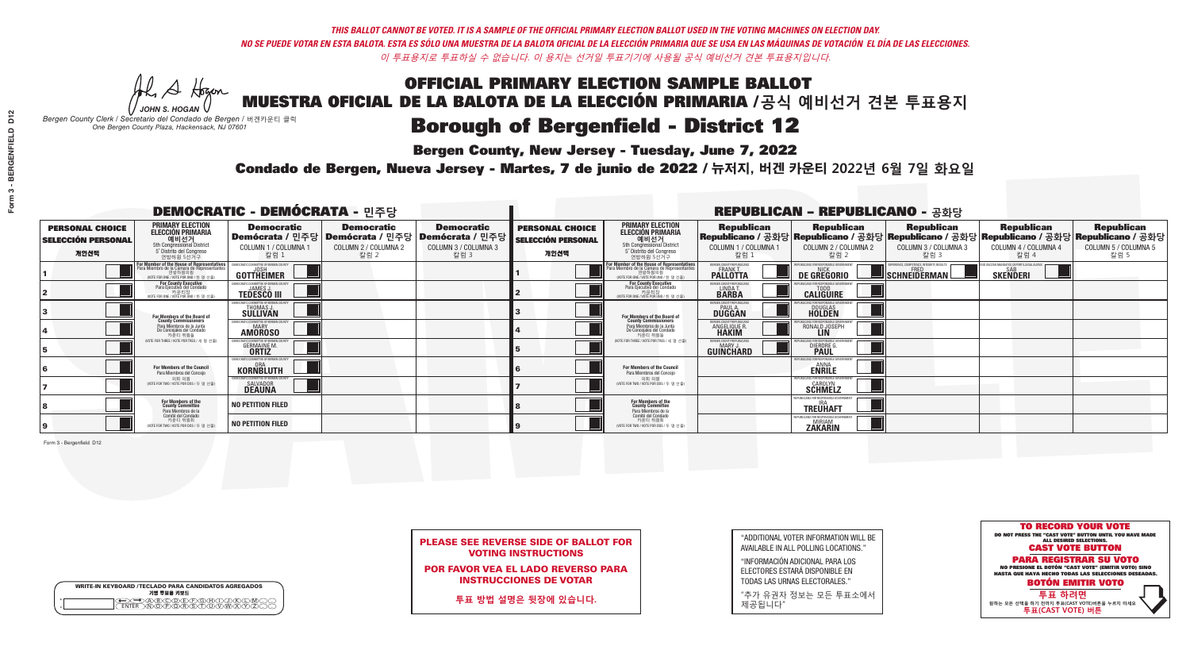He A Hogan

| <b>WRITE-IN KEYBOARD /TECLADO PARA CANDIDATOS AGREGADOS</b><br>기명 투표용 키보드 |  |
|---------------------------------------------------------------------------|--|
| )(B)(C)(D)(E)(F)(G)(H)(<br><u>አቅአሚያ ፈ</u> ን                               |  |

# **Borough of Bergenfield - District 12**

**Bergen County, New Jersey - Tuesday, June 7, 2022** 

*JOHN S. HOGAN Bergen County Clerk / Secretario del Condado de Bergen /* 버겐카운티 클럭 *One Bergen County Plaza, Hackensack, NJ 07601*



PLEASE SEE REVERSE SIDE OF BALLOT FOR VOTING INSTRUCTIONS

POR FAVOR VEA EL LADO REVERSO PARA INSTRUCCIONES DE VOTAR

**투표 방법 설명은 뒷장에 있습니다.**

"ADDITIONAL VOTER INFORMATION WILL BE AVAILABLE IN ALL POLLING LOCATIONS."

"INFORMACIÓN ADICIONAL PARA LOS ELECTORES ESTARÁ DISPONIBLE EN TODAS LAS URNAS ELECTORALES."

"추가 유권자 정보는 모든 투표소에서 제공됩니다"

Condado de Bergen, Nueva Jersey - Martes, 7 de junio de 2022 / 뉴저지, 버겐 카운티 2022년 6월 7일 화요일 *One Bergen County Plaza, Hackensack, NJ 07601*

|                                                             |                                                                                                                                               | <b>DEMOCRATIC - DEMÓCRATA - 민주당</b>                                      |                                                   |                                                                                                        |                                                             |                                                                                                                                               |                                                            | <b>REPUBLICAN - REPUBLICANO - 공화당</b>                                                                                                          |                                                         |                                                            |                                                   |
|-------------------------------------------------------------|-----------------------------------------------------------------------------------------------------------------------------------------------|--------------------------------------------------------------------------|---------------------------------------------------|--------------------------------------------------------------------------------------------------------|-------------------------------------------------------------|-----------------------------------------------------------------------------------------------------------------------------------------------|------------------------------------------------------------|------------------------------------------------------------------------------------------------------------------------------------------------|---------------------------------------------------------|------------------------------------------------------------|---------------------------------------------------|
| <b>PERSONAL CHOICE</b><br><b>SELECCIÓN PERSONAL</b><br>개인선택 | <b>PRIMARY ELECTION</b><br><b>ELECCIÓN PRIMARIA</b><br>예비선거<br>5th Congressional District<br>5° Distrito del Congreso<br>연방하원 5선거구            | <b>Democratic</b><br>COLUMN 1 / COLUMNA 1<br>칼럼 1                        | <b>Democratic</b><br>COLUMN 2 / COLUMNA 2<br>칼럼 2 | <b>Democratic</b><br>│Demócrata / 민주당│Demócrata / 민주당│Demócrata / 민주당┃<br>COLUMN 3 / COLUMNA 3<br>칼럼 3 | <b>PERSONAL CHOICE</b><br><b>SELECCIÓN PERSONAL</b><br>개인선택 | <b>PRIMARY ELECTION</b><br><b>ELECCIÓN PRIMARIA</b><br><u>. 예비선거</u><br>5th Congressional District<br>5° Distrito del Congreso<br>연방하원 5선거구   | <b>Republican</b><br>COLUMN 1 / COLUMNA 1<br>칼럼.           | <b>Republican</b><br>Republicano / 공화당 Republicano / 공화당 Republicano / 공화당 Republicano / 공화당 Republicano / 공화당<br>COLUMN 2 / COLUMNA 2<br>칼럼 2 | <b>Republican</b><br>COLUMN 3 / COLUMNA 3<br>칼럼 3       | <b>Republican</b><br>COLUMN 4 / COLUMNA 4<br>칼럼 4          | <b>Republican</b><br>COLUMN 5 / COLUMNA 5<br>칼럼 5 |
|                                                             | For Member of the House of Representatives<br>Para Miembro de la Cámara de Representantes<br>연방하원의원<br>(VOTE FOR ONE / VOTE POR UNO / 한 명 선출) | EMOCRATIC COMMITTEE OF BERGEN COL<br>GOTTHEIMER                          |                                                   |                                                                                                        |                                                             | For Member of the House of Representatives<br>Para Miembro de la Cámara de Representantes<br>연방하원의원<br>(WOTE FOR ONE / VOTE POR UNO / 한 명 선출) | BERGEN COUNTY REPUBLICANS<br>FRANK T.<br><b>PALLOTTA</b>   | DE GREGORIO                                                                                                                                    | PERIENCE. COMPETENCE. INTEGRITY. RESULT<br>SCHNEIDERMAN | VACCINE MANDATES, DEPORT ILLEGAL ALIENS<br><b>SKENDERI</b> |                                                   |
|                                                             | <b>For County Executive</b><br>Para Ejecutivo del Condado<br>가운티장<br>(VOTE FOR ONE / VOTE POR UNO / 한 명 선출)                                   | EMOCRATIC COMMITTEE OF BERGEN COUNTY<br><b>TEDESCO III</b>               |                                                   |                                                                                                        |                                                             | For County Executive<br>Para Ejecutivo del Condado<br>. 카운티장<br>(VOTE FOR ONE / VOTE POR UNO / 한 명 선출)                                        | BERGEN COUNTY REPUBLICAN<br>LINDA T.                       | <b>CALIGUIRE</b>                                                                                                                               |                                                         |                                                            |                                                   |
|                                                             | For Members of the Board of<br>County Commissioners                                                                                           | MOCRATIC COMMITTEE OF BERGEN COUNTY<br>THOMAS J.<br><b>SÜLLIVAN</b>      |                                                   |                                                                                                        |                                                             | For Members of the Board of<br>County Commissioners                                                                                           | ERGEN COUNTY REPUBLICAN<br><b>PAUL A.</b><br><b>DUGGAN</b> | DOUGLAS<br>HOLDEN                                                                                                                              |                                                         |                                                            |                                                   |
|                                                             | Para Miembros de la Junta<br>De Concejales del Condado<br>카우티 위원들                                                                             | <i>A</i> OCRATIC COMMITTEE OF BERGEN COUNTY<br>MARY<br><b>AMOROSO</b>    |                                                   |                                                                                                        |                                                             | Para Miembros de la Junta<br>De Concejales del Condado<br>카운티 위원들                                                                             | RGEN COUNTY REPUBLICAN<br><b>ANGELIQUE R<br/>HAKIM</b>     | RONALD JOSEPH                                                                                                                                  |                                                         |                                                            |                                                   |
|                                                             | NOTE FOR THREE / VOTE POR TRES / 세 명 선출)                                                                                                      | OCRATIC COMMITTEE OF BERGEN CO<br><b>GERMAINE M.</b>                     |                                                   |                                                                                                        |                                                             | WOTE FOR THREE / VOTE POR TRES / 세 명 선출                                                                                                       | ERGEN COUNTY REPUBLICANS<br>MARY .I<br>GUINCHARD           | FOR RESPONSIBLE G<br>DIERDRE G                                                                                                                 |                                                         |                                                            |                                                   |
|                                                             | For Members of the Council<br>Para Miembros del Conceio                                                                                       | EMOCRATIC COMMITTEE OF BERGEN CO<br><b>KORNBLUTH</b>                     |                                                   |                                                                                                        |                                                             | For Members of the Council<br>Para Miembros del Conceio                                                                                       |                                                            | S FOR RESPONSIBI E GO<br><b>ENRILE</b>                                                                                                         |                                                         |                                                            |                                                   |
|                                                             | 의회 의원<br>(VOTE FOR TWO / VOTE POR DOS / 두 명 선출)                                                                                               | EMOCRATIC COMMITTEE OF BERGEN COUNTY<br><b>SALVADOR</b><br><b>DEAUNA</b> |                                                   |                                                                                                        |                                                             | 의회 의원<br>(VOTE FOR TWO / VOTE POR DOS / 두 명 선출)                                                                                               |                                                            | EPUBLICANS FOR RESPONSIBLE GO<br><b>SCHMELZ</b>                                                                                                |                                                         |                                                            |                                                   |
|                                                             | For Members of the<br>County Committee<br>Para Miembros de la<br>Comité del Condado                                                           | <b>NO PETITION FILED</b>                                                 |                                                   |                                                                                                        |                                                             | For Members of the<br>County Committee<br>Para Miembros de la<br>Comité del Condado                                                           |                                                            | FPUBLICANS FOR RESPONSIBLE GOVERNMEI<br><b>TREÜHAFT</b>                                                                                        |                                                         |                                                            |                                                   |
|                                                             | 카운티 위원회<br>(VOTE FOR TWO / VOTE POR DOS / 두 명 선출)                                                                                             | <b>NO PETITION FILED</b>                                                 |                                                   |                                                                                                        |                                                             | 카운티 위원회<br>WOTE FOR TWO / VOTE POR DOS / 두 명 선출)                                                                                              |                                                            | <b>ZAKARIN</b>                                                                                                                                 |                                                         |                                                            |                                                   |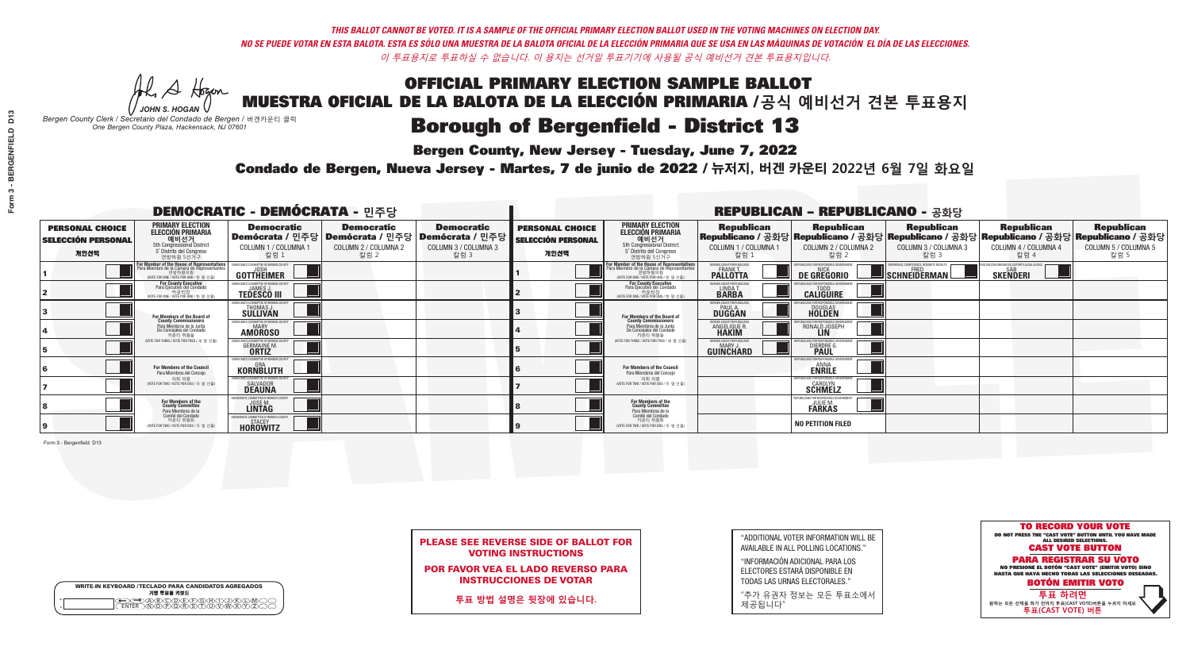A Hogen

| <b>WRITE-IN KEYBOARD /TECLADO PARA CANDIDATOS AGREGADOS</b><br>기명 투표용 키보드 |  |
|---------------------------------------------------------------------------|--|
| (A)B)C)D)E)(F)(G)(H)(T)(T)(<br>o<br>心面有心的<br>o                            |  |

# **Borough of Bergenfield - District 13**

**Bergen County, New Jersey - Tuesday, June 7, 2022** 

*JOHN S. HOGAN Bergen County Clerk / Secretario del Condado de Bergen /* 버겐카운티 클럭 *One Bergen County Plaza, Hackensack, NJ 07601*



PLEASE SEE REVERSE SIDE OF BALLOT FOR VOTING INSTRUCTIONS

POR FAVOR VEA EL LADO REVERSO PARA INSTRUCCIONES DE VOTAR

**투표 방법 설명은 뒷장에 있습니다.**

| "ADDITIONAL VOTER INFORMATION WILL BE |
|---------------------------------------|
| AVAILABLE IN ALL POLLING LOCATIONS."  |

"INFORMACIÓN ADICIONAL PARA LOS ELECTORES ESTARÁ DISPONIBLE EN TODAS LAS URNAS ELECTORALES."

"추가 유권자 정보는 모든 투표소에서 제공됩니다"

Condado de Bergen, Nueva Jersey - Martes, 7 de junio de 2022 / 뉴저지, 버겐 카운티 2022년 6월 7일 화요일 *One Bergen County Plaza, Hackensack, NJ 07601*

|                                                             |                                                                                                                                    | <b>DEMOCRATIC - DEMÓCRATA - 민주당</b>                                   |                                                   |                                                                                                              |                                                             |                                                                                                                                             |                                                                | <b>REPUBLICAN - REPUBLICANO - 공화당</b>                 |                                                                                                                                                |                                                           |                                                   |
|-------------------------------------------------------------|------------------------------------------------------------------------------------------------------------------------------------|-----------------------------------------------------------------------|---------------------------------------------------|--------------------------------------------------------------------------------------------------------------|-------------------------------------------------------------|---------------------------------------------------------------------------------------------------------------------------------------------|----------------------------------------------------------------|-------------------------------------------------------|------------------------------------------------------------------------------------------------------------------------------------------------|-----------------------------------------------------------|---------------------------------------------------|
| <b>PERSONAL CHOICE</b><br><b>SELECCIÓN PERSONAL</b><br>개인선택 | <b>PRIMARY ELECTION</b><br><b>ELECCIÓN PRIMARIA</b><br>예비선거<br>5th Congressional District<br>5° Distrito del Congreso<br>연방하원 5선거구 | <b>Democratic</b><br>COLUMN 1 / COLUMNA 1<br>칼럼 1                     | <b>Democratic</b><br>COLUMN 2 / COLUMNA 2<br>칼럼 2 | <b>Democratic</b><br>  Demócrata / 민주당   Demócrata / 민주당   Demócrata / 민주당  <br>COLUMN 3 / COLUMNA 3<br>칼럼 3 | <b>PERSONAL CHOICE</b><br><b>SELECCIÓN PERSONAL</b><br>개인선택 | <b>PRIMARY ELECTION</b><br><b>ELECCIÓN PRIMARIA</b><br>예비선거<br>5th Congressional District<br>5° Distrito del Congreso<br>연방하원 5선거구          | <b>Republican</b><br>COLUMN 1 / COLUMNA 1<br>칼럼                | <b>Republican</b><br>COLUMN 2 / COLUMNA 2<br>칼럼 2     | <b>Republican</b><br>Republicano / 공화당 Republicano / 공화당 Republicano / 공화당 Republicano / 공화당 Republicano / 공화당<br>COLUMN 3 / COLUMNA 3<br>칼럼 3 | <b>Republican</b><br>COLUMN 4 / COLUMNA 4<br>칼럼 4         | <b>Republican</b><br>COLUMN 5 / COLUMNA 5<br>칼럼 5 |
|                                                             | For Member of the House of Representatives<br>Para Miembro de la Cámara de Representantes                                          | EMOCRATIC COMMITTEE OF BERGEN (<br><b>GOTTHEIMER</b>                  |                                                   |                                                                                                              |                                                             | For Member of the House of Representatives<br>Para Miembro de la Cámara de Representantes<br>연방하원의원<br>(VOTE FOR ONE / VOTE POR UNO / 한명선출) | ERGEN COUNTY REPUBLICAN<br><b>PALLOTTA</b>                     | DE GREGORIO                                           | ERIENCE, COMPETENCE, INTEGRITY, RESUL'<br>SCHNEIDERMAN                                                                                         | VACCINE MANDATES, DEPORT ILLEGAL ALIEI<br><b>SKENDERI</b> |                                                   |
|                                                             | For County Executive<br>Para Ejecutivo del Condado<br>가운티장<br>(VOTE FOR ONE / VOTE POR UNO / 한 명 선출)                               | <b>FMOCRATIC COMMITTEE OF BERGEN COUNT</b><br><b>TEDESCO III</b>      |                                                   |                                                                                                              |                                                             | For County Executive<br>Para Ejecutivo del Condado<br>가운티장<br>(VOTE FOR ONE / VOTE POR UNO / 한 명 선출)                                        | BERGEN COUNTY REPUBLICAN<br>LINDA T.                           | <b>CALIGUIRE</b>                                      |                                                                                                                                                |                                                           |                                                   |
|                                                             | For Members of the Board of<br>County Commissioners                                                                                | <b>EMOCRATIC COMMITTEE OF BEBGEN COUNT</b><br>THOMAS J.               |                                                   |                                                                                                              |                                                             | For Members of the Board of<br>County Commissioners                                                                                         | ERGEN COUNTY REPUBLICAN<br><b>PAUL A.</b><br><b>DUGGAN</b>     | <b>DOUGLAS</b>                                        |                                                                                                                                                |                                                           |                                                   |
|                                                             | Para Miembros de la Junta<br>De Concejales del Condado<br>카우티 위원들                                                                  | <b>EMOCRATIC COMMITTEE OF BERGEN COUNTY</b><br>MARY<br><b>AMÖROSO</b> |                                                   |                                                                                                              |                                                             | Para Miembros de la Junta<br>De Concejales del Condado<br>카운티 위원들                                                                           | <b>FRGEN COUNTY REPUBLICAN</b><br><b>ANGELIQUE R<br/>HAKIM</b> | RONALD JOSEPH                                         |                                                                                                                                                |                                                           |                                                   |
|                                                             | NOTE FOR THREE / VOTE POR TRES / 세 명 선출)                                                                                           | <b>GERMAINE M.</b>                                                    |                                                   |                                                                                                              |                                                             | NOTE FOR THREE / VOTE POR TRES / 세 명 선출)                                                                                                    | ERGEN COUNTY REPUBLICANS<br>MARY J<br>GUINCHARD                | <b>DIERDRE</b> G                                      |                                                                                                                                                |                                                           |                                                   |
|                                                             | <b>For Members of the Council</b><br>Para Miembros del Conceio                                                                     | EMOCRATIC COMMITTEE OF BERGEN COUNTY<br><b>KORNBLUTH</b>              |                                                   |                                                                                                              |                                                             | <b>For Members of the Council</b><br>Para Miembros del Conceio                                                                              |                                                                | PUBLICANS FOR RESPONSIBLE GO<br><b>ENRILE</b>         |                                                                                                                                                |                                                           |                                                   |
|                                                             | 의회 의원<br>(VOTE FOR TWO / VOTE POR DOS / 두 명 선출)                                                                                    | EMOCRATIC COMMITTEE OF BERGEN COUNTY<br><b>SALVADOR</b>               |                                                   |                                                                                                              |                                                             | 의회 의원<br>NOTE FOR TWO / VOTE POR DOS / 두 명 선출)                                                                                              |                                                                | PUBLICANS FOR RESPONSIBLE GOVERNMEN<br><b>SCHMELZ</b> |                                                                                                                                                |                                                           |                                                   |
|                                                             | For Members of the<br>County Committee<br>Para Miembros de la                                                                      | <b>LINTAG</b>                                                         |                                                   |                                                                                                              |                                                             | For Members of the<br>County Committee<br>Para Miembros de la<br>Comité del Condado                                                         |                                                                | <b>JULIE M.</b><br><b>FARKAS</b>                      |                                                                                                                                                |                                                           |                                                   |
|                                                             | Comité del Condado<br>카운티 위원회<br>(VOTE FOR TWO / VOTE POR DOS / 두 명 선출)                                                            | <b>OCRATIC COMMITTEE OF BERGEN COUN</b><br><b>HOROWITZ</b>            |                                                   |                                                                                                              |                                                             | 카운티 위원회<br>(VOTE FOR TWO / VOTE POR DOS / 두 명 선출)                                                                                           |                                                                | <b>NO PETITION FILED</b>                              |                                                                                                                                                |                                                           |                                                   |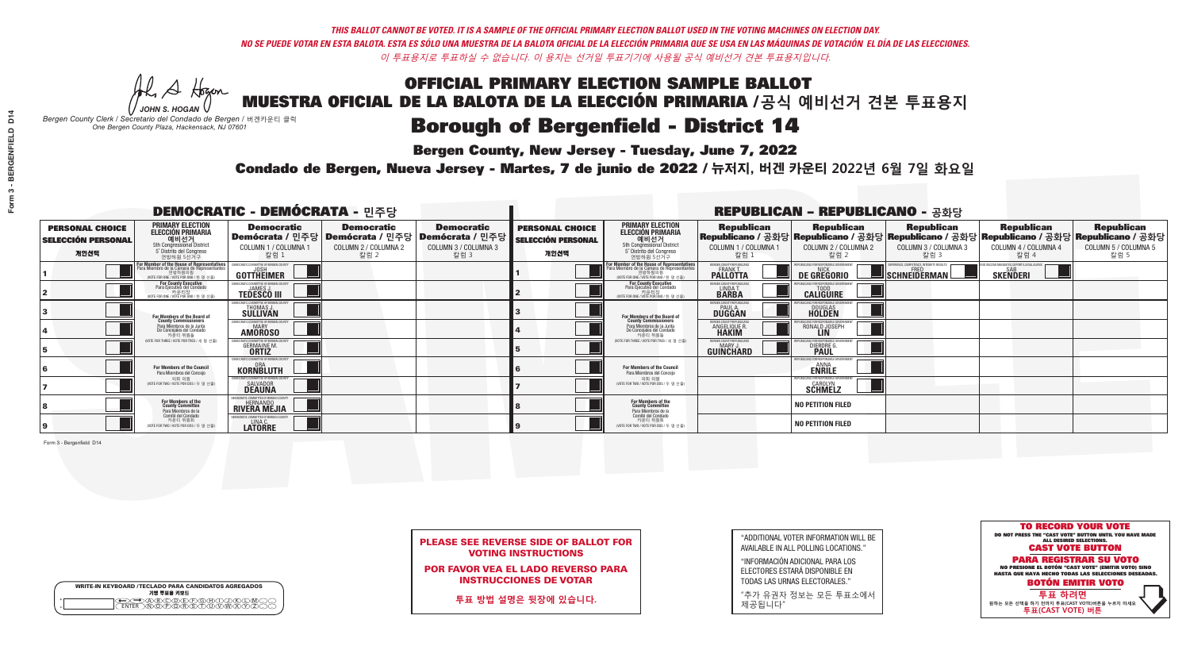A Hogen

| <b>WRITE-IN KEYBOARD /TECLADO PARA CANDIDATOS AGREGADOS</b><br>기명 투표용 키보드 |  |
|---------------------------------------------------------------------------|--|
| E@®©®®®®®®©©®<br>EM®®®®®®©™™®®®<br><b>FNTFR</b>                           |  |

### **Borough of Bergenfield - District 14**

**Bergen County, New Jersey - Tuesday, June 7, 2022** 

*JOHN S. HOGAN Bergen County Clerk / Secretario del Condado de Bergen /* 버겐카운티 클럭 *One Bergen County Plaza, Hackensack, NJ 07601*



PLEASE SEE REVERSE SIDE OF BALLOT FOR VOTING INSTRUCTIONS

POR FAVOR VEA EL LADO REVERSO PARA INSTRUCCIONES DE VOTAR

**투표 방법 설명은 뒷장에 있습니다.**

| "ADDITIONAL VOTER INFORMATION WILL BE |
|---------------------------------------|
| AVAILABLE IN ALL POLLING LOCATIONS."  |

"INFORMACIÓN ADICIONAL PARA LOS ELECTORES ESTARÁ DISPONIBLE EN TODAS LAS URNAS ELECTORALES."

"추가 유권자 정보는 모든 투표소에서 제공됩니다"

Condado de Bergen, Nueva Jersey - Martes, 7 de junio de 2022 / 뉴저지, 버겐 카운티 2022년 6월 7일 화요일 *One Bergen County Plaza, Hackensack, NJ 07601*

|                                                             |                                                                                                                                 | <b>DEMOCRATIC - DEMÓCRATA - 민주당</b>                                    |                                                   |                                                                                                        |                                                             |                                                                                                                                    |                                                               | <b>REPUBLICAN - REPUBLICANO - 공화당</b>                                                                                                          |                                            |                                                    |                                                   |
|-------------------------------------------------------------|---------------------------------------------------------------------------------------------------------------------------------|------------------------------------------------------------------------|---------------------------------------------------|--------------------------------------------------------------------------------------------------------|-------------------------------------------------------------|------------------------------------------------------------------------------------------------------------------------------------|---------------------------------------------------------------|------------------------------------------------------------------------------------------------------------------------------------------------|--------------------------------------------|----------------------------------------------------|---------------------------------------------------|
| <b>PERSONAL CHOICE</b><br><b>SELECCIÓN PERSONAL</b><br>개인선택 | <b>PRIMARY ELECTION</b><br><b>ELECCIÓN PRIMARIA</b><br>예비선거 5th Congressional District<br>5° Distrito del Congreso<br>연방하원 5선거구 | <b>Democratic</b><br>COLUMN 1 / COLUMNA 1<br>칼럼 1                      | <b>Democratic</b><br>COLUMN 2 / COLUMNA 2<br>칼럼 2 | <b>Democratic</b><br>│Demócrata / 민주당│Demócrata / 민주당│Demócrata / 민주당┃<br>COLUMN 3 / COLUMNA 3<br>칼럼 3 | <b>PERSONAL CHOICE</b><br><b>SELECCIÓN PERSONAL</b><br>개인선택 | <b>PRIMARY ELECTION</b><br><b>ELECCIÓN PRIMARIA</b><br>예비선거<br>5th Congressional District<br>5° Distrito del Congreso<br>연방하원 5선거구 | <b>Republican</b><br>COLUMN 1 / COLUMNA 1<br>칼럼 :             | <b>Republican</b><br>Republicano / 공화당 Republicano / 공화당 Republicano / 공화당 Republicano / 공화당 Republicano / 공화당<br>COLUMN 2 / COLUMNA 2<br>칼럼 2 | Republican<br>COLUMN 3 / COLUMNA 3<br>칼럼 3 | <b>Republican</b><br>COLUMN 4 / COLUMNA 4<br>칼럼 4  | <b>Republican</b><br>COLUMN 5 / COLUMNA 5<br>칼럼 5 |
|                                                             | For Member of the House of Representatives<br>Para Miembro de la Cámara de Representantes                                       | EMOCRATIC COMMITTEE OF BERGEN CO<br><b>GOTTHEIMER</b>                  |                                                   |                                                                                                        |                                                             | For Member of the House of Representatives<br>Para Miembro de la Cámara de Representantes                                          | ERGEN COUNTY REPUBLICAN:<br><b>PALLOTTA</b>                   | DE GREGORIO                                                                                                                                    | SCHNEIDERMAN                               | VACCINE MANDATES, DEPORT ILLEGAL ALIEN<br>SKEÑDERI |                                                   |
|                                                             | For County Executive<br>Para Ejecutivo del Condado<br>WOTE FOR ONE / VOTE POR UNO / 한 명 선출                                      | JEMOCRATIC COMMITTEE OF BERGEN COUNT<br><b>TEDESCO III</b>             |                                                   |                                                                                                        |                                                             | For County Executive<br>Para Ejecutivo del Condado<br>7 카운티장<br>(VOTE FOR ONE / VOTE POR UNO / 한 명 선출                              | BERGEN COUNTY REPUBLICAN<br>LINDA T.                          | <b>CALIGUIRE</b>                                                                                                                               |                                            |                                                    |                                                   |
|                                                             | For Members of the Board of<br>County Commissioners                                                                             | EMOCRATIC COMMITTEE OF BERGEN COUNT<br>THOMAS J.<br>SÜLLIVAN           |                                                   |                                                                                                        |                                                             | For Members of the Board of<br>County Commissioners                                                                                | ERGEN COUNTY REPUBLICAN<br><b>PAUL A.</b><br><b>DUGGAN</b>    | <b>DOUGLAS</b>                                                                                                                                 |                                            |                                                    |                                                   |
|                                                             | Para Miembros de la Junta<br>De Concejales del Condado<br>카운티 위원들                                                               | EMOCRATIC COMMITTEE OF BERGEN COUNTY<br><b>MARY</b><br><b>AMOROSO</b>  |                                                   |                                                                                                        |                                                             | Para Miembros de la Junta<br>De Concejales del Condado<br>카운티 위원들                                                                  | FRGEN COUNTY REPUBLICAN<br><b>ANGELIQUE R</b><br><b>HAKIM</b> | RONALD JOSEPH                                                                                                                                  |                                            |                                                    |                                                   |
|                                                             | (VOTE FOR THREE / VOTE POR TRES / 세 명 선출)                                                                                       | ICRATIC COMMITTEE OF BERGEN COUNT<br><b>GERMAINE M.</b>                |                                                   |                                                                                                        |                                                             | (VOTE FOR THREE / VOTE POR TRES / 세 명 선출)                                                                                          | ERGEN COUNTY REPUBLICANS<br><b>MARY J</b><br>GUIÑCHARD        | DIERDRE G                                                                                                                                      |                                            |                                                    |                                                   |
|                                                             | <b>For Members of the Council</b><br>Para Miembros del Conceio                                                                  | EMOCRATIC COMMITTEE OF BERGEN COUNTY<br><b>KORNBLUTH</b>               |                                                   |                                                                                                        |                                                             | For Members of the Council<br>Para Miembros del Conceio                                                                            |                                                               | UBI ICANS FOR RESPONSIBI E GI<br><b>ENRILE</b>                                                                                                 |                                            |                                                    |                                                   |
|                                                             | 의회 의원<br>(VOTE FOR TWO / VOTE POR DOS / 두 명 선출)                                                                                 | EMOCRATIC COMMITTEE OF BERGEN COUNTY<br>SALVADOR<br><b>DEAUNA</b>      |                                                   |                                                                                                        |                                                             | 의회 의원<br>NOTE FOR TWO / VOTE POR DOS / 두 명 선출)                                                                                     |                                                               | PUBLICANS FOR RESPONSIBLE GO<br><b>SCHMELZ</b>                                                                                                 |                                            |                                                    |                                                   |
|                                                             | For Members of the<br>County Committee<br>Para Miembros de la<br>Comité del Condado                                             | MOCRATIC COMMITTEE OF BERGEN COUNTY<br><b>HERNANDO</b><br>RIVERA MEJIA |                                                   |                                                                                                        |                                                             | For Members of the<br>County Committee<br>Para Miembros de la<br>Comité del Condado                                                |                                                               | <b>NO PETITION FILED</b>                                                                                                                       |                                            |                                                    |                                                   |
|                                                             | 카운티 위원회<br>(VOTE FOR TWO / VOTE POR DOS / 두 명 선출)                                                                               | MOCRATIC COMMITTEE OF BERGEN COUNTY<br>LINA C.<br>LATORRE              |                                                   |                                                                                                        |                                                             | 카운티 위원회<br>(VOTE FOR TWO / VOTE POR DOS / 두 명 선출)                                                                                  |                                                               | NO PETITION FILED                                                                                                                              |                                            |                                                    |                                                   |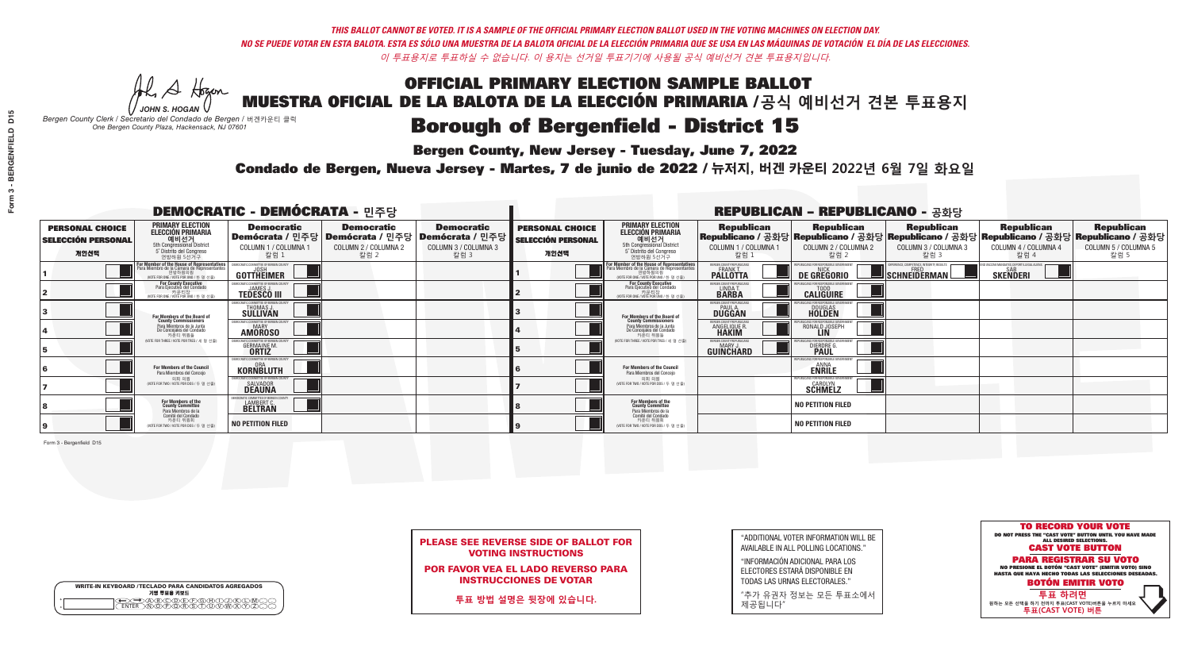He A Hogan

| <b>WRITE-IN KEYBOARD /TECLADO PARA CANDIDATOS AGREGADOS</b><br>기명 투표용 키보드 |  |
|---------------------------------------------------------------------------|--|
| E A BOO DE DO BODO KI<br>MA BA BA SA MWA XI                               |  |

# **Borough of Bergenfield - District 15**

**Bergen County, New Jersey - Tuesday, June 7, 2022** 

*JOHN S. HOGAN Bergen County Clerk / Secretario del Condado de Bergen /* 버겐카운티 클럭 *One Bergen County Plaza, Hackensack, NJ 07601*



|  | <b>PLEASE SEE REVERSE SIDE OF BALLOT FOR</b> |  |  |
|--|----------------------------------------------|--|--|
|  | <b>VOTING INSTRUCTIONS</b>                   |  |  |

POR FAVOR VEA EL LADO REVERSO PARA INSTRUCCIONES DE VOTAR

**투표 방법 설명은 뒷장에 있습니다.**

"ADDITIONAL VOTER INFORMATION WILL BE AVAILABLE IN ALL POLLING LOCATIONS."

"INFORMACIÓN ADICIONAL PARA LOS ELECTORES ESTARÁ DISPONIBLE EN TODAS LAS URNAS ELECTORALES."

"추가 유권자 정보는 모든 투표소에서 제공됩니다"

Condado de Bergen, Nueva Jersey - Martes, 7 de junio de 2022 / 뉴저지, 버겐 카운티 2022년 6월 7일 화요일 *One Bergen County Plaza, Hackensack, NJ 07601*

| <b>DEMOCRATIC - DEMÓCRATA - 민주당</b>                         |                                                                                                                                               |                                                                          |                                                   |                                                                                                        |                                                             |                                                                                                                                    |                                                            | <b>REPUBLICAN - REPUBLICANO - 공화당</b>                 |                                                                                                                                                |                                                            |                                                   |
|-------------------------------------------------------------|-----------------------------------------------------------------------------------------------------------------------------------------------|--------------------------------------------------------------------------|---------------------------------------------------|--------------------------------------------------------------------------------------------------------|-------------------------------------------------------------|------------------------------------------------------------------------------------------------------------------------------------|------------------------------------------------------------|-------------------------------------------------------|------------------------------------------------------------------------------------------------------------------------------------------------|------------------------------------------------------------|---------------------------------------------------|
| <b>PERSONAL CHOICE</b><br><b>SELECCIÓN PERSONAL</b><br>개인선택 | <b>PRIMARY ELECTION</b><br><b>ELECCIÓN PRIMARIA</b><br>예비선거<br>5th Congressional District<br>5° Distrito del Congreso<br>연방하원 5선거구            | <b>Democratic</b><br>COLUMN 1 / COLUMNA 1<br>칼럼 1                        | <b>Democratic</b><br>COLUMN 2 / COLUMNA 2<br>칼럼 2 | <b>Democratic</b><br>│Demócrata / 민주당│Demócrata / 민주당│Demócrata / 민주당┃<br>COLUMN 3 / COLUMNA 3<br>칼럼 3 | <b>PERSONAL CHOICE</b><br><b>SELECCIÓN PERSONAL</b><br>개인선택 | <b>PRIMARY ELECTION</b><br><b>ELECCIÓN PRIMARIA</b><br>예비선거<br>5th Congressional District<br>5° Distrito del Congreso<br>연방하원 5선거구 | <b>Republican</b><br>COLUMN 1 / COLUMNA 1<br>칼럼 :          | <b>Republican</b><br>COLUMN 2 / COLUMNA 2<br>칼럼 2     | <b>Republican</b><br>Republicano / 공화당 Republicano / 공화당 Republicano / 공화당 Republicano / 공화당 Republicano / 공화당<br>COLUMN 3 / COLUMNA 3<br>칼럼 3 | <b>Republican</b><br>COLUMN 4 / COLUMNA 4<br>칼럼 4          | <b>Republican</b><br>COLUMN 5 / COLUMNA 5<br>칼럼 5 |
|                                                             | For Member of the House of Representatives<br>Para Miembro de la Cámara de Representantes<br>연방하원의원<br>(VOTE FOR ONE / VOTE POR UNO / 한 명 선출) | JEMOCRATIC COMMITTEE OF BERGEN COUNT<br>GOTTHEIMER                       |                                                   |                                                                                                        |                                                             | For Member of the House of Representatives<br>Para Miembro de la Cámara de Representantes                                          | ERGEN COUNTY REPUBLICAN<br><b>PALLOTTA</b>                 | DE GREGORIO                                           | SCHNEIDERMAN                                                                                                                                   | VACCINE MANDATES, DEPORT ILLEGAL ALIENS<br><b>SKENDERI</b> |                                                   |
|                                                             | For County Executive<br>Para Ejecutivo del Condado<br>WOTE FOR ONE / VOTE POR UNO / 한 명 선출)                                                   | <b>FMOCRATIC COMMITTEE OF BERGEN COUNT</b><br><b>TEDESCO III</b>         |                                                   |                                                                                                        |                                                             | For County Executive<br>Para Ejecutivo del Condado<br>WOTE FOR ONE / VOTE POR UNO / 한 명 선출                                         | BERGEN COUNTY REPUBLICAL<br>LINDAT.                        | <b>CALIGUIRE</b>                                      |                                                                                                                                                |                                                            |                                                   |
|                                                             | For Members of the Board of<br>County Commissioners                                                                                           | EMOCRATIC COMMITTEE OF BERGEN COUNT<br>THOMAS J.<br>SÜLLIVAN             |                                                   |                                                                                                        |                                                             | For Members of the Board of<br>County Commissioners                                                                                | ERGEN COUNTY REPUBLICAN<br><b>PAUL A.</b><br><b>DUGGAN</b> | DOUGLAS<br>HOLDEN                                     |                                                                                                                                                |                                                            |                                                   |
|                                                             | Para Miembros de la Junta<br>De Concejales del Condado<br>카운티 위원들                                                                             | EMOCRATIC COMMITTEE OF BERGEN COUNTY<br><b>MARY</b><br><b>AMOROSO</b>    |                                                   |                                                                                                        |                                                             | Para Miembros de la Junta<br>De Concejales del Condado<br>카운티 위원들                                                                  | ERGEN COUNTY REPUBLICAN<br>ANGELIQUE R.                    | RONALD JOSEPH<br><b>LIN</b>                           |                                                                                                                                                |                                                            |                                                   |
|                                                             | (VOTE FOR THREE / VOTE POR TRES / 세 명 선출)                                                                                                     | IOCRATIC COMMITTEE OF BERGEN COUNT<br><b>GERMAINE M.</b><br><b>ORTIZ</b> |                                                   |                                                                                                        |                                                             | NOTE FOR THREE / VOTE POR TRES / 세 명 선출)                                                                                           | ERGEN COUNTY REPUBLICANS<br>MARY J<br>GUINCHARD            | <b>ICANS FOR RESPONSIBLE O</b><br>DIERDRE (           |                                                                                                                                                |                                                            |                                                   |
|                                                             | <b>For Members of the Council</b><br>Para Miembros del Conceio                                                                                | EMOCRATIC COMMITTEE OF BERGEN COUNTY<br>KORNBLUTH                        |                                                   |                                                                                                        |                                                             | <b>For Members of the Council</b><br>Para Miembros del Conceio                                                                     |                                                            | 'UBI ICANS FOR RESPONSIBI E GO<br><b>ENRILE</b>       |                                                                                                                                                |                                                            |                                                   |
|                                                             | 의회 의원<br>(VOTE FOR TWO / VOTE POR DOS / 두 명 선출)                                                                                               | <b>EMOCRATIC COMMITTEE OF BEBGEN COUNTY</b><br>SALVADOR<br><b>DEAUNA</b> |                                                   |                                                                                                        |                                                             | 의회 의원<br>(VOTE FOR TWO / VOTE POR DOS / 두 명 선출)                                                                                    |                                                            | PUBLICANS FOR RESPONSIBLE GOVERNMEN<br><b>SCHMELZ</b> |                                                                                                                                                |                                                            |                                                   |
|                                                             | For Members of the<br>County Committee<br>Para Miembros de la<br>Comité del Condado                                                           | OCRATIC COMMITTEE OF BERGEN COUNT<br>LAMBERT C.<br><b>BELTRAN</b>        |                                                   |                                                                                                        |                                                             | For Members of the<br>County Committee<br>Para Miembros de la<br>Comité del Condado                                                |                                                            | <b>NO PETITION FILED</b>                              |                                                                                                                                                |                                                            |                                                   |
|                                                             | 카운티 위원회<br>(VOTE FOR TWO / VOTE POR DOS / 두 명 선출)                                                                                             | <b>NO PETITION FILED</b>                                                 |                                                   |                                                                                                        |                                                             | 카운티 위원회<br>(VOTE FOR TWO / VOTE POR DOS / 두 명 선출)                                                                                  |                                                            | <b>NO PETITION FILED</b>                              |                                                                                                                                                |                                                            |                                                   |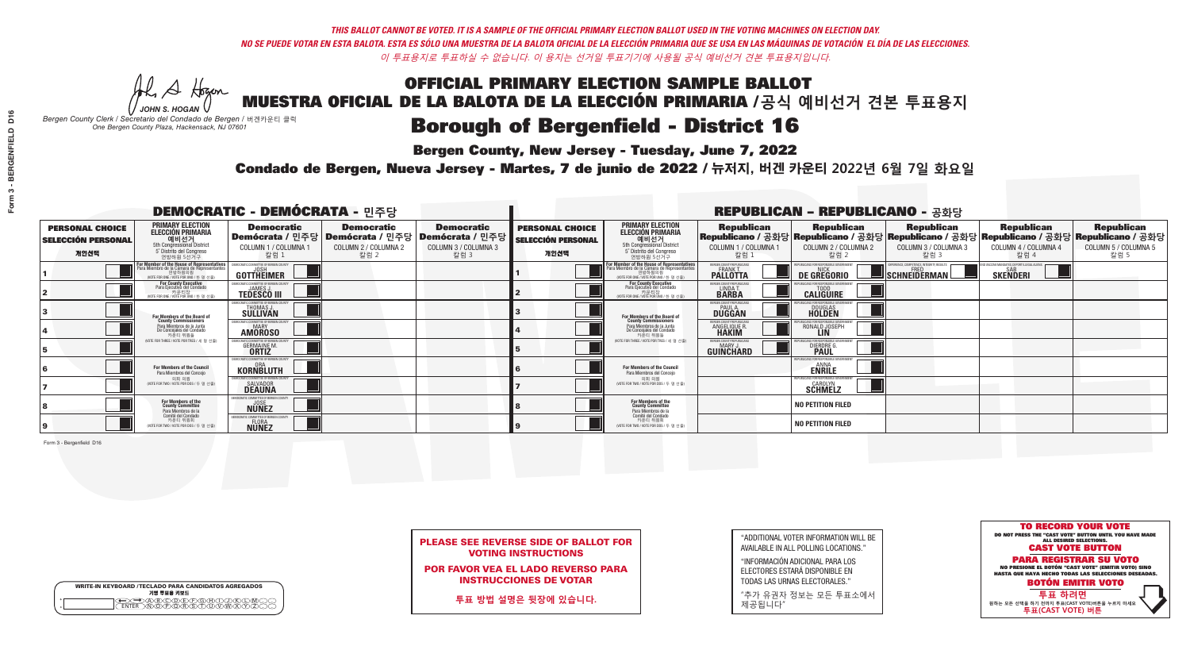A Hogen

| <b>WRITE-IN KEYBOARD /TECLADO PARA CANDIDATOS AGREGADOS</b><br>기명 투표용 키보드 |  |
|---------------------------------------------------------------------------|--|
| E@®©®®®®®®©©®<br>EM®®®®®®©™™®®®<br><b>FNTFR</b>                           |  |

# **Borough of Bergenfield - District 16**

**Bergen County, New Jersey - Tuesday, June 7, 2022** 

*JOHN S. HOGAN Bergen County Clerk / Secretario del Condado de Bergen /* 버겐카운티 클럭 *One Bergen County Plaza, Hackensack, NJ 07601*



PLEASE SEE REVERSE SIDE OF BALLOT FOR VOTING INSTRUCTIONS

POR FAVOR VEA EL LADO REVERSO PARA INSTRUCCIONES DE VOTAR

**투표 방법 설명은 뒷장에 있습니다.**

"ADDITIONAL VOTER INFORMATION WILL BE AVAILABLE IN ALL POLLING LOCATIONS."

"INFORMACIÓN ADICIONAL PARA LOS ELECTORES ESTARÁ DISPONIBLE EN TODAS LAS URNAS ELECTORALES."

"추가 유권자 정보는 모든 투표소에서 제공됩니다"

Condado de Bergen, Nueva Jersey - Martes, 7 de junio de 2022 / 뉴저지, 버겐 카운티 2022년 6월 7일 화요일 *One Bergen County Plaza, Hackensack, NJ 07601*

|                                                             |                                                                                                                                         | <b>DEMOCRATIC - DEMÓCRATA - 민주당</b>                                   |                                                   |                                                                                                        |                                                             |                                                                                                                                    |                                                               | <b>REPUBLICAN - REPUBLICANO - 공화당</b>                                                                                                          |                                                   |                                                             |                                                   |
|-------------------------------------------------------------|-----------------------------------------------------------------------------------------------------------------------------------------|-----------------------------------------------------------------------|---------------------------------------------------|--------------------------------------------------------------------------------------------------------|-------------------------------------------------------------|------------------------------------------------------------------------------------------------------------------------------------|---------------------------------------------------------------|------------------------------------------------------------------------------------------------------------------------------------------------|---------------------------------------------------|-------------------------------------------------------------|---------------------------------------------------|
| <b>PERSONAL CHOICE</b><br><b>SELECCIÓN PERSONAL</b><br>개인선택 | <b>PRIMARY ELECTION</b><br><b>ELECCIÓN PRIMARIA</b><br>---- 예비선거<br>5th Congressional District<br>5° Distrito del Congreso<br>연방하원 5선거구 | <b>Democratic</b><br>COLUMN 1 / COLUMNA 1<br>칼럼 1                     | <b>Democratic</b><br>COLUMN 2 / COLUMNA 2<br>칼럼 2 | <b>Democratic</b><br>│Demócrata / 민주당│Demócrata / 민주당│Demócrata / 민주당┃<br>COLUMN 3 / COLUMNA 3<br>칼럼 3 | <b>PERSONAL CHOICE</b><br><b>SELECCIÓN PERSONAL</b><br>개인선택 | <b>PRIMARY ELECTION</b><br><b>ELECCIÓN PRIMARIA</b><br>예비선거<br>5th Congressional District<br>5° Distrito del Congreso<br>연방하원 5선거구 | <b>Republican</b><br>COLUMN 1 / COLUMNA 1<br>칼럼 :             | <b>Republican</b><br>Republicano / 공화당 Republicano / 공화당 Republicano / 공화당 Republicano / 공화당 Republicano / 공화당<br>COLUMN 2 / COLUMNA 2<br>참럼 2 | <b>Republican</b><br>COLUMN 3 / COLUMNA 3<br>칼럼 3 | <b>Republican</b><br>COLUMN 4 / COLUMNA 4<br>칼럼 4           | <b>Republican</b><br>COLUMN 5 / COLUMNA 5<br>칼럼 5 |
|                                                             | For Member of the House of Representatives<br>Para Miembro de la Cámara de Representantes                                               | EMOCRATIC COMMITTEE OF BERGEN CO<br><b>GOTTHEIMER</b>                 |                                                   |                                                                                                        |                                                             | For Member of the House of Representatives<br>Para Miembro de la Cámara de Representantes                                          | BERGEN COUNTY REPUBLICAN<br><b>PALLOTTA</b>                   | DE GREGORIO                                                                                                                                    | SCHNEIDERMAN                                      | ) VACCINE MANDATES, DEPORT ILLEGAL ALIEN<br><b>SKENDERI</b> |                                                   |
|                                                             | For County Executive<br>Para Ejecutivo del Condado<br>WOTE FOR ONE / VOTE POR UNO / 한 명 선출                                              | JEMOCRATIC COMMITTEE OF BERGEN COUNT<br><b>TEDESCO III</b>            |                                                   |                                                                                                        |                                                             | For County Executive<br>Para Ejecutivo del Condado<br>7) 카운티장<br>(VOTE FOR ONE / VOTE POR UNO / 한 명 선출)                            | BERGEN COUNTY REPUBLICAN<br>LINDA T.                          | <b>CALIGUIRE</b>                                                                                                                               |                                                   |                                                             |                                                   |
|                                                             | For Members of the Board of<br>County Commissioners                                                                                     | EMOCRATIC COMMITTEE OF BERGEN COUNT<br>THOMAS J.                      |                                                   |                                                                                                        |                                                             | For Members of the Board of<br>County Commissioners                                                                                | ERGEN COUNTY REPUBLICAN<br><b>PAUL A.</b><br><b>DUGGAN</b>    | <b>DOUGLAS</b>                                                                                                                                 |                                                   |                                                             |                                                   |
|                                                             | Para Miembros de la Junta<br>De Concejales del Condado<br>카운티 위원들                                                                       | EMOCRATIC COMMITTEE OF BERGEN COUNTY<br><b>MARY</b><br><b>AMOROSO</b> |                                                   |                                                                                                        |                                                             | Para Miembros de la Junta<br>De Concejales del Condado<br>카운티 위원들                                                                  | FRGEN COUNTY REPUBLICAN<br><b>ANGELIQUE R</b><br><b>HAKIM</b> | RONALD JOSEPH<br><b>LIN</b>                                                                                                                    |                                                   |                                                             |                                                   |
|                                                             | (VOTE FOR THREE / VOTE POR TRES / 세 명 선출)                                                                                               | CRATIC COMMITTEE OF BERGEN COUNT<br><b>GERMAINE M.</b>                |                                                   |                                                                                                        |                                                             | NOTE FOR THREE / VOTE POR TRES / 세 명 선출)                                                                                           | ERGEN COUNTY REPUBLICANS<br>MARY,<br>GUIÑĈHARD                | <b>DIERDRE</b> O                                                                                                                               |                                                   |                                                             |                                                   |
|                                                             | <b>For Members of the Council</b><br>Para Miembros del Conceio                                                                          | EMOCRATIC COMMITTEE OF BERGEN COUNTY<br><b>KORNBLUTH</b>              |                                                   |                                                                                                        |                                                             | <b>For Members of the Council</b><br>Para Miembros del Conceio                                                                     |                                                               | 'UBI ICANS FOR RESPONSIBI E GO<br><b>ENRILE</b>                                                                                                |                                                   |                                                             |                                                   |
|                                                             | 의회 의원<br>(VOTE FOR TWO / VOTE POR DOS / 두 명 선출)                                                                                         | <b>EMOCRATIC COMMITTEE OF BERGEN COUNTY</b><br><b>SALVADOR</b>        |                                                   |                                                                                                        |                                                             | 의회 의원<br>NOTE FOR TWO / VOTE POR DOS / 두 명 선출)                                                                                     |                                                               | PUBLICANS FOR RESPONSIBLE GOVERNMENT<br><b>SCHMELZ</b>                                                                                         |                                                   |                                                             |                                                   |
|                                                             | For Members of the<br>County Committee<br>Para Miembros de la<br>Comité del Condado                                                     | <b><i>AOCRATIC COMMITTEE OF BERGEN COUNT</i></b><br><b>NUNEZ</b>      |                                                   |                                                                                                        |                                                             | For Members of the<br>County Committee<br>Para Miembros de la<br>Comité del Condado                                                |                                                               | NO PETITION FILED                                                                                                                              |                                                   |                                                             |                                                   |
|                                                             | 카운티 위원회<br>(VOTE FOR TWO / VOTE POR DOS / 두 명 선출)                                                                                       | AOCRATIC COMMITTEE OF BERGEN CO<br>FLORA<br><b>NUNEZ</b>              |                                                   |                                                                                                        |                                                             | 카운티 위원회<br>(VOTE FOR TWO / VOTE POR DOS / 두 명 선출)                                                                                  |                                                               | NO PETITION FILED                                                                                                                              |                                                   |                                                             |                                                   |